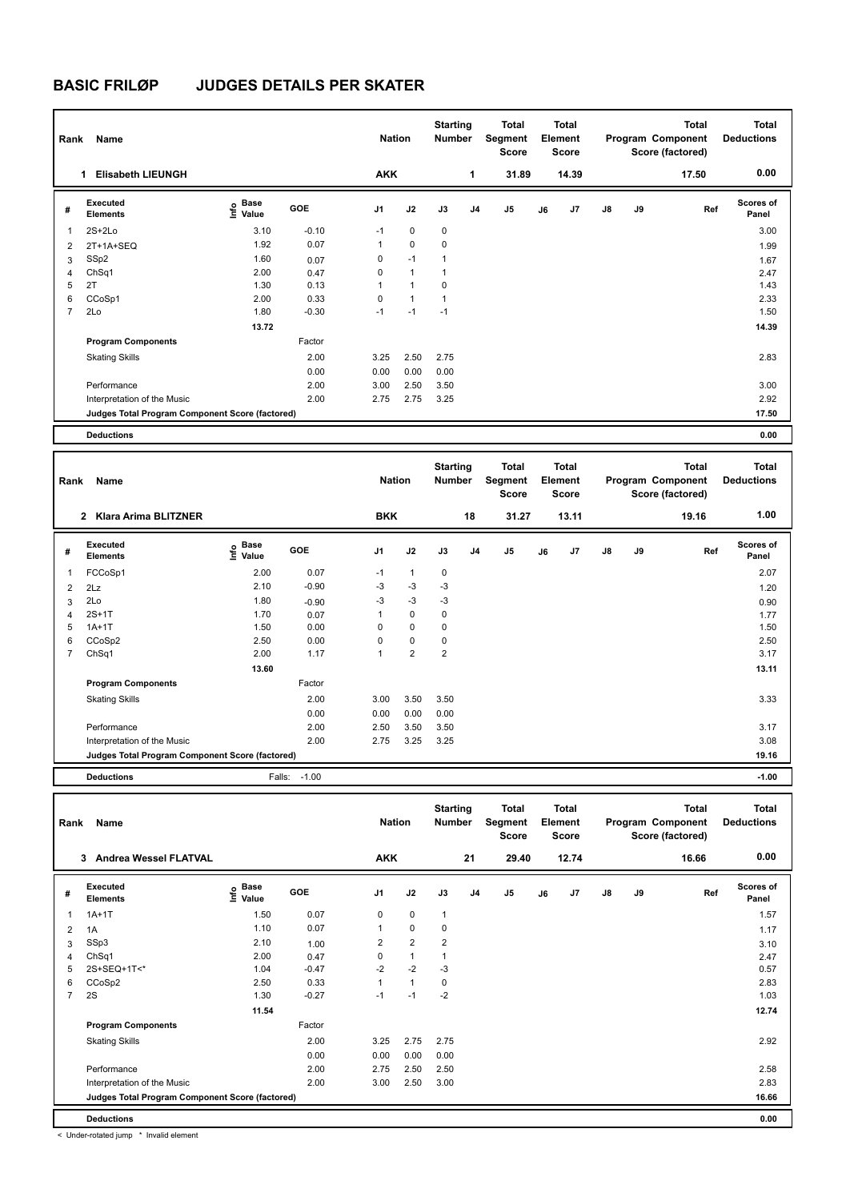| Rank           | Name                                            |                                    |            | <b>Nation</b>  |                | <b>Starting</b><br><b>Number</b> |                | Total<br>Segment<br><b>Score</b> |    | <b>Total</b><br>Element<br><b>Score</b> |               |    | <b>Total</b><br>Program Component<br>Score (factored) | <b>Total</b><br><b>Deductions</b> |
|----------------|-------------------------------------------------|------------------------------------|------------|----------------|----------------|----------------------------------|----------------|----------------------------------|----|-----------------------------------------|---------------|----|-------------------------------------------------------|-----------------------------------|
|                | <b>Elisabeth LIEUNGH</b><br>1                   |                                    |            | <b>AKK</b>     |                |                                  | 1              | 31.89                            |    | 14.39                                   |               |    | 17.50                                                 | 0.00                              |
| #              | Executed<br><b>Elements</b>                     | <b>Base</b><br>$\frac{6}{5}$ Value | <b>GOE</b> | J <sub>1</sub> | J2             | J3                               | J <sub>4</sub> | J <sub>5</sub>                   | J6 | J7                                      | $\mathsf{J}8$ | J9 | Ref                                                   | <b>Scores of</b><br>Panel         |
| 1              | $2S+2Lo$                                        | 3.10                               | $-0.10$    | $-1$           | $\mathbf 0$    | $\mathbf 0$                      |                |                                  |    |                                         |               |    |                                                       | 3.00                              |
| 2              | 2T+1A+SEQ                                       | 1.92                               | 0.07       | 1              | $\mathbf 0$    | 0                                |                |                                  |    |                                         |               |    |                                                       | 1.99                              |
| 3              | SSp2                                            | 1.60                               | 0.07       | 0              | $-1$           | 1                                |                |                                  |    |                                         |               |    |                                                       | 1.67                              |
| 4              | ChSq1                                           | 2.00                               | 0.47       | 0              | $\mathbf{1}$   | 1                                |                |                                  |    |                                         |               |    |                                                       | 2.47                              |
| 5              | 2T                                              | 1.30                               | 0.13       | 1              | $\overline{1}$ | $\mathbf 0$                      |                |                                  |    |                                         |               |    |                                                       | 1.43                              |
| 6              | CCoSp1                                          | 2.00                               | 0.33       | 0              | $\mathbf{1}$   | 1                                |                |                                  |    |                                         |               |    |                                                       | 2.33                              |
| $\overline{7}$ | 2Lo                                             | 1.80                               | $-0.30$    | $-1$           | $-1$           | $-1$                             |                |                                  |    |                                         |               |    |                                                       | 1.50                              |
|                |                                                 | 13.72                              |            |                |                |                                  |                |                                  |    |                                         |               |    |                                                       | 14.39                             |
|                | <b>Program Components</b>                       |                                    | Factor     |                |                |                                  |                |                                  |    |                                         |               |    |                                                       |                                   |
|                | <b>Skating Skills</b>                           |                                    | 2.00       | 3.25           | 2.50           | 2.75                             |                |                                  |    |                                         |               |    |                                                       | 2.83                              |
|                |                                                 |                                    | 0.00       | 0.00           | 0.00           | 0.00                             |                |                                  |    |                                         |               |    |                                                       |                                   |
|                | Performance                                     |                                    | 2.00       | 3.00           | 2.50           | 3.50                             |                |                                  |    |                                         |               |    |                                                       | 3.00                              |
|                | Interpretation of the Music                     |                                    | 2.00       | 2.75           | 2.75           | 3.25                             |                |                                  |    |                                         |               |    |                                                       | 2.92                              |
|                | Judges Total Program Component Score (factored) |                                    |            |                |                |                                  |                |                                  |    |                                         |               |    |                                                       | 17.50                             |
|                | <b>Deductions</b>                               |                                    |            |                |                |                                  |                |                                  |    |                                         |               |    |                                                       | 0.00                              |

| Rank           | Name                                            |                                  |                      | <b>Nation</b> |                | <b>Starting</b><br><b>Number</b> |                | <b>Total</b><br>Segment<br><b>Score</b> |    | Total<br>Element<br>Score |               |    | <b>Total</b><br>Program Component<br>Score (factored) | <b>Total</b><br><b>Deductions</b> |
|----------------|-------------------------------------------------|----------------------------------|----------------------|---------------|----------------|----------------------------------|----------------|-----------------------------------------|----|---------------------------|---------------|----|-------------------------------------------------------|-----------------------------------|
|                | 2 Klara Arima BLITZNER                          |                                  |                      | <b>BKK</b>    |                |                                  | 18             | 31.27                                   |    | 13.11                     |               |    | 19.16                                                 | 1.00                              |
| #              | <b>Executed</b><br><b>Elements</b>              | <b>Base</b><br>은 Base<br>트 Value | GOE                  | J1            | J2             | J3                               | J <sub>4</sub> | J <sub>5</sub>                          | J6 | J7                        | $\mathsf{J}8$ | J9 | Ref                                                   | <b>Scores of</b><br>Panel         |
| 1              | FCCoSp1                                         | 2.00                             | 0.07                 | $-1$          | $\mathbf{1}$   | $\mathbf 0$                      |                |                                         |    |                           |               |    |                                                       | 2.07                              |
| 2              | 2Lz                                             | 2.10                             | $-0.90$              | $-3$          | $-3$           | -3                               |                |                                         |    |                           |               |    |                                                       | 1.20                              |
| 3              | 2Lo                                             | 1.80                             | $-0.90$              | $-3$          | $-3$           | $-3$                             |                |                                         |    |                           |               |    |                                                       | 0.90                              |
| $\overline{4}$ | $2S+1T$                                         | 1.70                             | 0.07                 | 1             | $\pmb{0}$      | 0                                |                |                                         |    |                           |               |    |                                                       | 1.77                              |
| 5              | $1A+1T$                                         | 1.50                             | 0.00                 | 0             | $\mathbf 0$    | 0                                |                |                                         |    |                           |               |    |                                                       | 1.50                              |
| 6              | CCoSp2                                          | 2.50                             | 0.00                 | 0             | $\mathbf 0$    | 0                                |                |                                         |    |                           |               |    |                                                       | 2.50                              |
| $\overline{7}$ | ChSq1                                           | 2.00                             | 1.17                 | 1             | $\overline{2}$ | $\overline{2}$                   |                |                                         |    |                           |               |    |                                                       | 3.17                              |
|                |                                                 | 13.60                            |                      |               |                |                                  |                |                                         |    |                           |               |    |                                                       | 13.11                             |
|                | <b>Program Components</b>                       |                                  | Factor               |               |                |                                  |                |                                         |    |                           |               |    |                                                       |                                   |
|                | <b>Skating Skills</b>                           |                                  | 2.00                 | 3.00          | 3.50           | 3.50                             |                |                                         |    |                           |               |    |                                                       | 3.33                              |
|                |                                                 |                                  | 0.00                 | 0.00          | 0.00           | 0.00                             |                |                                         |    |                           |               |    |                                                       |                                   |
|                | Performance                                     |                                  | 2.00                 | 2.50          | 3.50           | 3.50                             |                |                                         |    |                           |               |    |                                                       | 3.17                              |
|                | Interpretation of the Music                     |                                  | 2.00                 | 2.75          | 3.25           | 3.25                             |                |                                         |    |                           |               |    |                                                       | 3.08                              |
|                | Judges Total Program Component Score (factored) |                                  |                      |               |                |                                  |                |                                         |    |                           |               |    |                                                       | 19.16                             |
|                | _ _ _                                           |                                  | $\sim$ $\sim$ $\sim$ |               |                |                                  |                |                                         |    |                           |               |    |                                                       |                                   |

**Deductions** Falls: -1.00 **-1.00**

| Rank           | Name                                            |                           |         | <b>Nation</b>  |                | <b>Starting</b><br>Number |                | <b>Total</b><br>Segment<br><b>Score</b> |    | <b>Total</b><br>Element<br><b>Score</b> |               |    | <b>Total</b><br>Program Component<br>Score (factored) | <b>Total</b><br><b>Deductions</b> |
|----------------|-------------------------------------------------|---------------------------|---------|----------------|----------------|---------------------------|----------------|-----------------------------------------|----|-----------------------------------------|---------------|----|-------------------------------------------------------|-----------------------------------|
|                | Andrea Wessel FLATVAL<br>3                      |                           |         | <b>AKK</b>     |                |                           | 21             | 29.40                                   |    | 12.74                                   |               |    | 16.66                                                 | 0.00                              |
| #              | <b>Executed</b><br><b>Elements</b>              | Base<br>e Base<br>⊆ Value | GOE     | J <sub>1</sub> | J2             | J3                        | J <sub>4</sub> | J <sub>5</sub>                          | J6 | J7                                      | $\mathsf{J}8$ | J9 | Ref                                                   | <b>Scores of</b><br>Panel         |
| 1              | $1A+1T$                                         | 1.50                      | 0.07    | 0              | $\mathbf 0$    | $\mathbf{1}$              |                |                                         |    |                                         |               |    |                                                       | 1.57                              |
| 2              | 1A                                              | 1.10                      | 0.07    | 1              | $\pmb{0}$      | 0                         |                |                                         |    |                                         |               |    |                                                       | 1.17                              |
| 3              | SSp3                                            | 2.10                      | 1.00    | 2              | $\overline{2}$ | $\overline{2}$            |                |                                         |    |                                         |               |    |                                                       | 3.10                              |
| 4              | ChSq1                                           | 2.00                      | 0.47    | 0              | $\overline{1}$ | 1                         |                |                                         |    |                                         |               |    |                                                       | 2.47                              |
| 5              | 2S+SEQ+1T<*                                     | 1.04                      | $-0.47$ | $-2$           | $-2$           | $-3$                      |                |                                         |    |                                         |               |    |                                                       | 0.57                              |
| 6              | CCoSp2                                          | 2.50                      | 0.33    | $\mathbf{1}$   | $\mathbf{1}$   | $\mathbf 0$               |                |                                         |    |                                         |               |    |                                                       | 2.83                              |
| $\overline{7}$ | 2S                                              | 1.30                      | $-0.27$ | $-1$           | $-1$           | $-2$                      |                |                                         |    |                                         |               |    |                                                       | 1.03                              |
|                |                                                 | 11.54                     |         |                |                |                           |                |                                         |    |                                         |               |    |                                                       | 12.74                             |
|                | <b>Program Components</b>                       |                           | Factor  |                |                |                           |                |                                         |    |                                         |               |    |                                                       |                                   |
|                | <b>Skating Skills</b>                           |                           | 2.00    | 3.25           | 2.75           | 2.75                      |                |                                         |    |                                         |               |    |                                                       | 2.92                              |
|                |                                                 |                           | 0.00    | 0.00           | 0.00           | 0.00                      |                |                                         |    |                                         |               |    |                                                       |                                   |
|                | Performance                                     |                           | 2.00    | 2.75           | 2.50           | 2.50                      |                |                                         |    |                                         |               |    |                                                       | 2.58                              |
|                | Interpretation of the Music                     |                           | 2.00    | 3.00           | 2.50           | 3.00                      |                |                                         |    |                                         |               |    |                                                       | 2.83                              |
|                | Judges Total Program Component Score (factored) |                           |         |                |                |                           |                |                                         |    |                                         |               |    |                                                       | 16.66                             |
|                | <b>Deductions</b>                               |                           |         |                |                |                           |                |                                         |    |                                         |               |    |                                                       | 0.00                              |

< Under-rotated jump \* Invalid element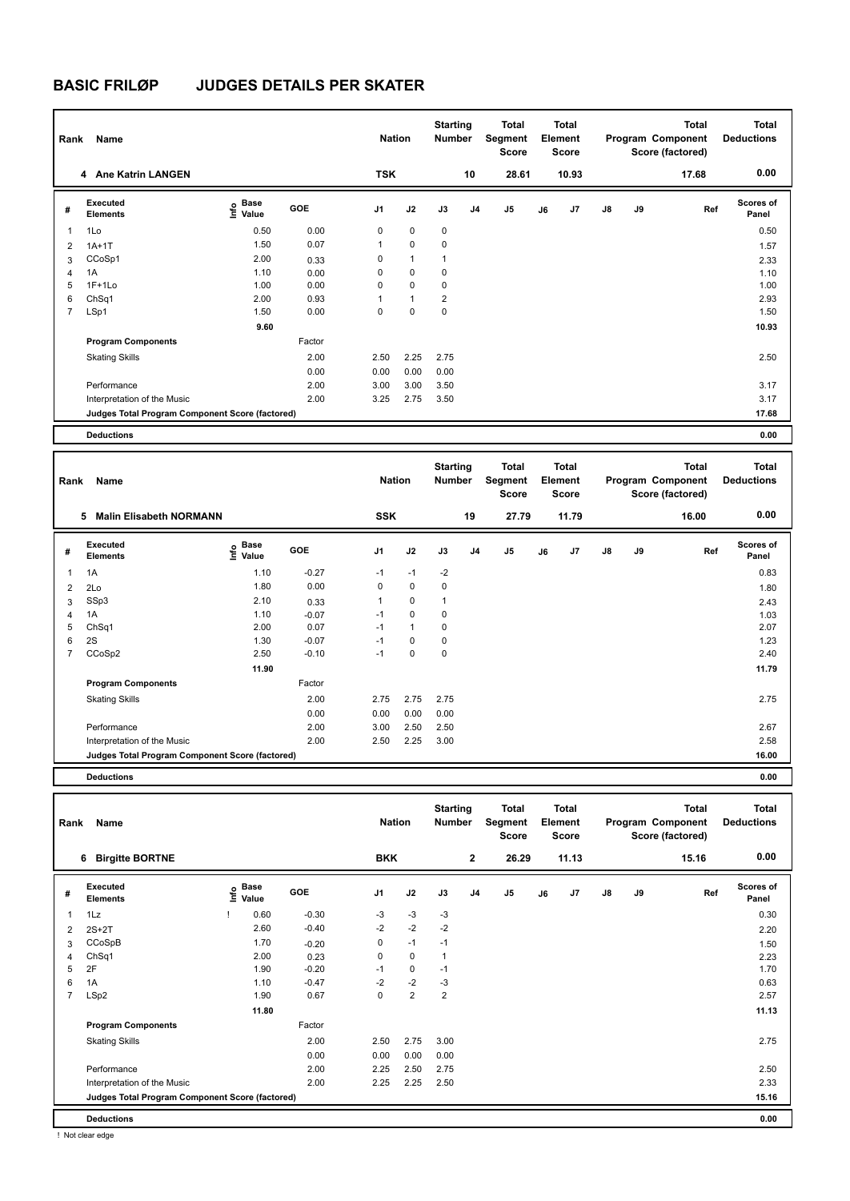| Rank           | Name                                            |                              |        | <b>Nation</b>  |              | <b>Starting</b><br><b>Number</b> |                | <b>Total</b><br>Segment<br><b>Score</b> |    | <b>Total</b><br>Element<br><b>Score</b> |               |    | Total<br>Program Component<br>Score (factored) | <b>Total</b><br><b>Deductions</b> |
|----------------|-------------------------------------------------|------------------------------|--------|----------------|--------------|----------------------------------|----------------|-----------------------------------------|----|-----------------------------------------|---------------|----|------------------------------------------------|-----------------------------------|
|                | 4 Ane Katrin LANGEN                             |                              |        | <b>TSK</b>     |              |                                  | 10             | 28.61                                   |    | 10.93                                   |               |    | 17.68                                          | 0.00                              |
| #              | Executed<br><b>Elements</b>                     | <b>Base</b><br>lnfo<br>Value | GOE    | J <sub>1</sub> | J2           | J3                               | J <sub>4</sub> | J <sub>5</sub>                          | J6 | J7                                      | $\mathsf{J}8$ | J9 | Ref                                            | <b>Scores of</b><br>Panel         |
| 1              | 1Lo                                             | 0.50                         | 0.00   | 0              | $\mathbf 0$  | $\mathbf 0$                      |                |                                         |    |                                         |               |    |                                                | 0.50                              |
| 2              | $1A+1T$                                         | 1.50                         | 0.07   | $\mathbf{1}$   | $\mathbf 0$  | 0                                |                |                                         |    |                                         |               |    |                                                | 1.57                              |
| 3              | CCoSp1                                          | 2.00                         | 0.33   | 0              | $\mathbf{1}$ | $\mathbf{1}$                     |                |                                         |    |                                         |               |    |                                                | 2.33                              |
| $\overline{4}$ | 1A                                              | 1.10                         | 0.00   | 0              | $\mathbf 0$  | 0                                |                |                                         |    |                                         |               |    |                                                | 1.10                              |
| 5              | $1F+1Lo$                                        | 1.00                         | 0.00   | 0              | $\mathbf 0$  | $\mathbf 0$                      |                |                                         |    |                                         |               |    |                                                | 1.00                              |
| 6              | ChSq1                                           | 2.00                         | 0.93   | 1              | $\mathbf{1}$ | $\overline{2}$                   |                |                                         |    |                                         |               |    |                                                | 2.93                              |
| $\overline{7}$ | LSp1                                            | 1.50                         | 0.00   | 0              | $\mathbf 0$  | 0                                |                |                                         |    |                                         |               |    |                                                | 1.50                              |
|                |                                                 | 9.60                         |        |                |              |                                  |                |                                         |    |                                         |               |    |                                                | 10.93                             |
|                | <b>Program Components</b>                       |                              | Factor |                |              |                                  |                |                                         |    |                                         |               |    |                                                |                                   |
|                | <b>Skating Skills</b>                           |                              | 2.00   | 2.50           | 2.25         | 2.75                             |                |                                         |    |                                         |               |    |                                                | 2.50                              |
|                |                                                 |                              | 0.00   | 0.00           | 0.00         | 0.00                             |                |                                         |    |                                         |               |    |                                                |                                   |
|                | Performance                                     |                              | 2.00   | 3.00           | 3.00         | 3.50                             |                |                                         |    |                                         |               |    |                                                | 3.17                              |
|                | Interpretation of the Music                     |                              | 2.00   | 3.25           | 2.75         | 3.50                             |                |                                         |    |                                         |               |    |                                                | 3.17                              |
|                | Judges Total Program Component Score (factored) |                              |        |                |              |                                  |                |                                         |    |                                         |               |    |                                                | 17.68                             |
|                | <b>Deductions</b>                               |                              |        |                |              |                                  |                |                                         |    |                                         |               |    |                                                | 0.00                              |

| Rank | Name                                            |                                           |         | <b>Nation</b>  |              | <b>Starting</b><br><b>Number</b> |                | <b>Total</b><br>Segment<br><b>Score</b> |    | <b>Total</b><br>Element<br>Score |               |    | <b>Total</b><br>Program Component<br>Score (factored) | <b>Total</b><br><b>Deductions</b> |
|------|-------------------------------------------------|-------------------------------------------|---------|----------------|--------------|----------------------------------|----------------|-----------------------------------------|----|----------------------------------|---------------|----|-------------------------------------------------------|-----------------------------------|
|      | <b>Malin Elisabeth NORMANN</b><br>5             |                                           |         | <b>SSK</b>     |              |                                  | 19             | 27.79                                   |    | 11.79                            |               |    | 16.00                                                 | 0.00                              |
| #    | <b>Executed</b><br><b>Elements</b>              | $\frac{e}{E}$ Base<br>$\frac{e}{E}$ Value | GOE     | J <sub>1</sub> | J2           | J3                               | J <sub>4</sub> | J <sub>5</sub>                          | J6 | J7                               | $\mathsf{J}8$ | J9 | Ref                                                   | Scores of<br>Panel                |
| 1    | 1A                                              | 1.10                                      | $-0.27$ | $-1$           | $-1$         | $-2$                             |                |                                         |    |                                  |               |    |                                                       | 0.83                              |
| 2    | 2Lo                                             | 1.80                                      | 0.00    | 0              | $\mathbf 0$  | 0                                |                |                                         |    |                                  |               |    |                                                       | 1.80                              |
| 3    | SSp3                                            | 2.10                                      | 0.33    | 1              | $\mathbf 0$  | 1                                |                |                                         |    |                                  |               |    |                                                       | 2.43                              |
| 4    | 1A                                              | 1.10                                      | $-0.07$ | $-1$           | $\mathbf 0$  | 0                                |                |                                         |    |                                  |               |    |                                                       | 1.03                              |
| 5    | Ch <sub>Sq1</sub>                               | 2.00                                      | 0.07    | $-1$           | $\mathbf{1}$ | 0                                |                |                                         |    |                                  |               |    |                                                       | 2.07                              |
| 6    | 2S                                              | 1.30                                      | $-0.07$ | $-1$           | 0            | 0                                |                |                                         |    |                                  |               |    |                                                       | 1.23                              |
| 7    | CCoSp2                                          | 2.50                                      | $-0.10$ | $-1$           | 0            | 0                                |                |                                         |    |                                  |               |    |                                                       | 2.40                              |
|      |                                                 | 11.90                                     |         |                |              |                                  |                |                                         |    |                                  |               |    |                                                       | 11.79                             |
|      | <b>Program Components</b>                       |                                           | Factor  |                |              |                                  |                |                                         |    |                                  |               |    |                                                       |                                   |
|      | <b>Skating Skills</b>                           |                                           | 2.00    | 2.75           | 2.75         | 2.75                             |                |                                         |    |                                  |               |    |                                                       | 2.75                              |
|      |                                                 |                                           | 0.00    | 0.00           | 0.00         | 0.00                             |                |                                         |    |                                  |               |    |                                                       |                                   |
|      | Performance                                     |                                           | 2.00    | 3.00           | 2.50         | 2.50                             |                |                                         |    |                                  |               |    |                                                       | 2.67                              |
|      | Interpretation of the Music                     |                                           | 2.00    | 2.50           | 2.25         | 3.00                             |                |                                         |    |                                  |               |    |                                                       | 2.58                              |
|      | Judges Total Program Component Score (factored) |                                           |         |                |              |                                  |                |                                         |    |                                  |               |    |                                                       | 16.00                             |
|      |                                                 |                                           |         |                |              |                                  |                |                                         |    |                                  |               |    |                                                       |                                   |

**Deductions 0.00**

| Rank           | Name                                            |      |                      |            | <b>Nation</b>  |                | <b>Starting</b><br><b>Number</b> |                | <b>Total</b><br>Segment<br><b>Score</b> |    | <b>Total</b><br>Element<br>Score |               |    | <b>Total</b><br>Program Component<br>Score (factored) | <b>Total</b><br><b>Deductions</b> |
|----------------|-------------------------------------------------|------|----------------------|------------|----------------|----------------|----------------------------------|----------------|-----------------------------------------|----|----------------------------------|---------------|----|-------------------------------------------------------|-----------------------------------|
|                | <b>Birgitte BORTNE</b><br>6                     |      |                      |            | <b>BKK</b>     |                |                                  | $\mathbf{2}$   | 26.29                                   |    | 11.13                            |               |    | 15.16                                                 | 0.00                              |
| #              | Executed<br><b>Elements</b>                     | ١nf٥ | <b>Base</b><br>Value | <b>GOE</b> | J <sub>1</sub> | J2             | J3                               | J <sub>4</sub> | J5                                      | J6 | J7                               | $\mathsf{J}8$ | J9 | Ref                                                   | <b>Scores of</b><br>Panel         |
| $\overline{1}$ | 1Lz                                             |      | 0.60                 | $-0.30$    | $-3$           | $-3$           | $-3$                             |                |                                         |    |                                  |               |    |                                                       | 0.30                              |
| 2              | $2S+2T$                                         |      | 2.60                 | $-0.40$    | $-2$           | $-2$           | $-2$                             |                |                                         |    |                                  |               |    |                                                       | 2.20                              |
| 3              | CCoSpB                                          |      | 1.70                 | $-0.20$    | 0              | $-1$           | $-1$                             |                |                                         |    |                                  |               |    |                                                       | 1.50                              |
| $\overline{4}$ | ChSq1                                           |      | 2.00                 | 0.23       | 0              | $\mathbf 0$    | 1                                |                |                                         |    |                                  |               |    |                                                       | 2.23                              |
| 5              | 2F                                              |      | 1.90                 | $-0.20$    | $-1$           | 0              | $-1$                             |                |                                         |    |                                  |               |    |                                                       | 1.70                              |
| 6              | 1A                                              |      | 1.10                 | $-0.47$    | $-2$           | $-2$           | $-3$                             |                |                                         |    |                                  |               |    |                                                       | 0.63                              |
| $\overline{7}$ | LSp2                                            |      | 1.90                 | 0.67       | 0              | $\overline{2}$ | $\overline{2}$                   |                |                                         |    |                                  |               |    |                                                       | 2.57                              |
|                |                                                 |      | 11.80                |            |                |                |                                  |                |                                         |    |                                  |               |    |                                                       | 11.13                             |
|                | <b>Program Components</b>                       |      |                      | Factor     |                |                |                                  |                |                                         |    |                                  |               |    |                                                       |                                   |
|                | <b>Skating Skills</b>                           |      |                      | 2.00       | 2.50           | 2.75           | 3.00                             |                |                                         |    |                                  |               |    |                                                       | 2.75                              |
|                |                                                 |      |                      | 0.00       | 0.00           | 0.00           | 0.00                             |                |                                         |    |                                  |               |    |                                                       |                                   |
|                | Performance                                     |      |                      | 2.00       | 2.25           | 2.50           | 2.75                             |                |                                         |    |                                  |               |    |                                                       | 2.50                              |
|                | Interpretation of the Music                     |      |                      | 2.00       | 2.25           | 2.25           | 2.50                             |                |                                         |    |                                  |               |    |                                                       | 2.33                              |
|                | Judges Total Program Component Score (factored) |      |                      |            |                |                |                                  |                |                                         |    |                                  |               |    |                                                       | 15.16                             |
|                | <b>Deductions</b>                               |      |                      |            |                |                |                                  |                |                                         |    |                                  |               |    |                                                       | 0.00                              |

! Not clear edge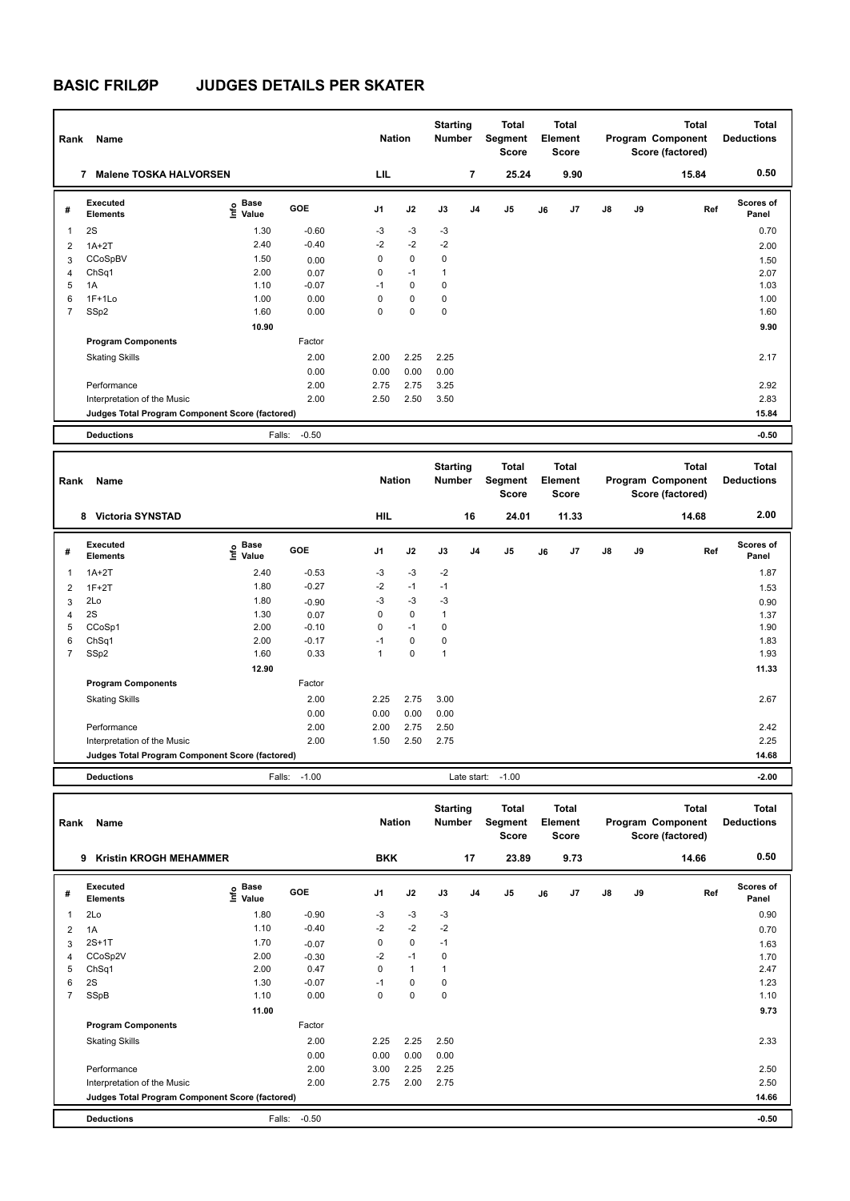| Rank           | Name                                            |                                  |            | <b>Nation</b>  |             | <b>Starting</b><br><b>Number</b> |                | Total<br>Segment<br><b>Score</b> |    | Total<br>Element<br><b>Score</b> |               |    | <b>Total</b><br>Program Component<br>Score (factored) | <b>Total</b><br><b>Deductions</b> |
|----------------|-------------------------------------------------|----------------------------------|------------|----------------|-------------|----------------------------------|----------------|----------------------------------|----|----------------------------------|---------------|----|-------------------------------------------------------|-----------------------------------|
|                | <b>Malene TOSKA HALVORSEN</b><br>7              |                                  |            | LIL            |             |                                  | 7              | 25.24                            |    | 9.90                             |               |    | 15.84                                                 | 0.50                              |
| #              | Executed<br><b>Elements</b>                     | <b>Base</b><br>e Base<br>⊆ Value | <b>GOE</b> | J <sub>1</sub> | J2          | J3                               | J <sub>4</sub> | J5                               | J6 | J <sub>7</sub>                   | $\mathsf{J}8$ | J9 | Ref                                                   | Scores of<br>Panel                |
| 1              | 2S                                              | 1.30                             | $-0.60$    | $-3$           | $-3$        | $-3$                             |                |                                  |    |                                  |               |    |                                                       | 0.70                              |
| $\overline{2}$ | $1A+2T$                                         | 2.40                             | $-0.40$    | $-2$           | $-2$        | $-2$                             |                |                                  |    |                                  |               |    |                                                       | 2.00                              |
| 3              | CCoSpBV                                         | 1.50                             | 0.00       | 0              | $\mathbf 0$ | $\mathbf 0$                      |                |                                  |    |                                  |               |    |                                                       | 1.50                              |
| $\overline{4}$ | ChSq1                                           | 2.00                             | 0.07       | 0              | $-1$        | $\mathbf{1}$                     |                |                                  |    |                                  |               |    |                                                       | 2.07                              |
| 5              | 1A                                              | 1.10                             | $-0.07$    | $-1$           | $\mathbf 0$ | $\mathbf 0$                      |                |                                  |    |                                  |               |    |                                                       | 1.03                              |
| 6              | $1F+1Lo$                                        | 1.00                             | 0.00       | 0              | 0           | 0                                |                |                                  |    |                                  |               |    |                                                       | 1.00                              |
| $\overline{7}$ | SSp2                                            | 1.60                             | 0.00       | 0              | $\mathbf 0$ | 0                                |                |                                  |    |                                  |               |    |                                                       | 1.60                              |
|                |                                                 | 10.90                            |            |                |             |                                  |                |                                  |    |                                  |               |    |                                                       | 9.90                              |
|                | <b>Program Components</b>                       |                                  | Factor     |                |             |                                  |                |                                  |    |                                  |               |    |                                                       |                                   |
|                | <b>Skating Skills</b>                           |                                  | 2.00       | 2.00           | 2.25        | 2.25                             |                |                                  |    |                                  |               |    |                                                       | 2.17                              |
|                |                                                 |                                  | 0.00       | 0.00           | 0.00        | 0.00                             |                |                                  |    |                                  |               |    |                                                       |                                   |
|                | Performance                                     |                                  | 2.00       | 2.75           | 2.75        | 3.25                             |                |                                  |    |                                  |               |    |                                                       | 2.92                              |
|                | Interpretation of the Music                     |                                  | 2.00       | 2.50           | 2.50        | 3.50                             |                |                                  |    |                                  |               |    |                                                       | 2.83                              |
|                | Judges Total Program Component Score (factored) |                                  |            |                |             |                                  |                |                                  |    |                                  |               |    |                                                       | 15.84                             |
|                | <b>Deductions</b>                               | Falls:                           | $-0.50$    |                |             |                                  |                |                                  |    |                                  |               |    |                                                       | $-0.50$                           |

| Rank                     | Name                                            |                                  |         | <b>Nation</b>  |             | <b>Starting</b><br>Number |                | <b>Total</b><br>Segment<br><b>Score</b> |    | <b>Total</b><br>Element<br><b>Score</b> |               |    | <b>Total</b><br>Program Component<br>Score (factored) | <b>Total</b><br><b>Deductions</b> |
|--------------------------|-------------------------------------------------|----------------------------------|---------|----------------|-------------|---------------------------|----------------|-----------------------------------------|----|-----------------------------------------|---------------|----|-------------------------------------------------------|-----------------------------------|
|                          | <b>Victoria SYNSTAD</b><br>8                    |                                  |         | HIL            |             |                           | 16             | 24.01                                   |    | 11.33                                   |               |    | 14.68                                                 | 2.00                              |
| #                        | Executed<br><b>Elements</b>                     | <b>Base</b><br>o Base<br>⊆ Value | GOE     | J <sub>1</sub> | J2          | J3                        | J <sub>4</sub> | J5                                      | J6 | J <sub>7</sub>                          | $\mathsf{J}8$ | J9 | Ref                                                   | Scores of<br>Panel                |
| $\overline{\phantom{a}}$ | $1A+2T$                                         | 2.40                             | $-0.53$ | $-3$           | $-3$        | $-2$                      |                |                                         |    |                                         |               |    |                                                       | 1.87                              |
| 2                        | $1F+2T$                                         | 1.80                             | $-0.27$ | $-2$           | $-1$        | $-1$                      |                |                                         |    |                                         |               |    |                                                       | 1.53                              |
| 3                        | 2Lo                                             | 1.80                             | $-0.90$ | $-3$           | $-3$        | $-3$                      |                |                                         |    |                                         |               |    |                                                       | 0.90                              |
| 4                        | 2S                                              | 1.30                             | 0.07    | 0              | 0           | $\mathbf{1}$              |                |                                         |    |                                         |               |    |                                                       | 1.37                              |
| 5                        | CCoSp1                                          | 2.00                             | $-0.10$ | $\mathbf 0$    | $-1$        | 0                         |                |                                         |    |                                         |               |    |                                                       | 1.90                              |
| 6                        | ChSq1                                           | 2.00                             | $-0.17$ | $-1$           | $\mathbf 0$ | 0                         |                |                                         |    |                                         |               |    |                                                       | 1.83                              |
| $\overline{7}$           | SSp2                                            | 1.60                             | 0.33    | 1              | $\pmb{0}$   | $\mathbf{1}$              |                |                                         |    |                                         |               |    |                                                       | 1.93                              |
|                          |                                                 | 12.90                            |         |                |             |                           |                |                                         |    |                                         |               |    |                                                       | 11.33                             |
|                          | <b>Program Components</b>                       |                                  | Factor  |                |             |                           |                |                                         |    |                                         |               |    |                                                       |                                   |
|                          | <b>Skating Skills</b>                           |                                  | 2.00    | 2.25           | 2.75        | 3.00                      |                |                                         |    |                                         |               |    |                                                       | 2.67                              |
|                          |                                                 |                                  | 0.00    | 0.00           | 0.00        | 0.00                      |                |                                         |    |                                         |               |    |                                                       |                                   |
|                          | Performance                                     |                                  | 2.00    | 2.00           | 2.75        | 2.50                      |                |                                         |    |                                         |               |    |                                                       | 2.42                              |
|                          | Interpretation of the Music                     |                                  | 2.00    | 1.50           | 2.50        | 2.75                      |                |                                         |    |                                         |               |    |                                                       | 2.25                              |
|                          | Judges Total Program Component Score (factored) |                                  |         |                |             |                           |                |                                         |    |                                         |               |    |                                                       | 14.68                             |
|                          | <b>Deductions</b>                               | Falls:                           | $-1.00$ |                |             |                           | Late start:    | $-1.00$                                 |    |                                         |               |    |                                                       | $-2.00$                           |

| Rank           | Name                                            |                             |         | <b>Nation</b>  |              | <b>Starting</b><br><b>Number</b> |                | <b>Total</b><br>Segment<br><b>Score</b> |    | <b>Total</b><br>Element<br><b>Score</b> |    |    | <b>Total</b><br>Program Component<br>Score (factored) | <b>Total</b><br><b>Deductions</b> |
|----------------|-------------------------------------------------|-----------------------------|---------|----------------|--------------|----------------------------------|----------------|-----------------------------------------|----|-----------------------------------------|----|----|-------------------------------------------------------|-----------------------------------|
|                | <b>Kristin KROGH MEHAMMER</b><br>9              |                             |         | <b>BKK</b>     |              |                                  | 17             | 23.89                                   |    | 9.73                                    |    |    | 14.66                                                 | 0.50                              |
| #              | <b>Executed</b><br><b>Elements</b>              | Base<br>$\frac{6}{5}$ Value | GOE     | J <sub>1</sub> | J2           | J3                               | J <sub>4</sub> | J <sub>5</sub>                          | J6 | J <sub>7</sub>                          | J8 | J9 | Ref                                                   | <b>Scores of</b><br>Panel         |
| 1              | 2Lo                                             | 1.80                        | $-0.90$ | $-3$           | $-3$         | $-3$                             |                |                                         |    |                                         |    |    |                                                       | 0.90                              |
| 2              | 1A                                              | 1.10                        | $-0.40$ | $-2$           | $-2$         | $-2$                             |                |                                         |    |                                         |    |    |                                                       | 0.70                              |
| 3              | $2S+1T$                                         | 1.70                        | $-0.07$ | 0              | $\mathbf 0$  | $-1$                             |                |                                         |    |                                         |    |    |                                                       | 1.63                              |
| 4              | CCoSp2V                                         | 2.00                        | $-0.30$ | $-2$           | $-1$         | 0                                |                |                                         |    |                                         |    |    |                                                       | 1.70                              |
| 5              | ChSq1                                           | 2.00                        | 0.47    | 0              | $\mathbf{1}$ | 1                                |                |                                         |    |                                         |    |    |                                                       | 2.47                              |
| 6              | 2S                                              | 1.30                        | $-0.07$ | $-1$           | $\mathbf 0$  | 0                                |                |                                         |    |                                         |    |    |                                                       | 1.23                              |
| $\overline{7}$ | SSpB                                            | 1.10                        | 0.00    | 0              | $\mathbf 0$  | 0                                |                |                                         |    |                                         |    |    |                                                       | 1.10                              |
|                |                                                 | 11.00                       |         |                |              |                                  |                |                                         |    |                                         |    |    |                                                       | 9.73                              |
|                | <b>Program Components</b>                       |                             | Factor  |                |              |                                  |                |                                         |    |                                         |    |    |                                                       |                                   |
|                | <b>Skating Skills</b>                           |                             | 2.00    | 2.25           | 2.25         | 2.50                             |                |                                         |    |                                         |    |    |                                                       | 2.33                              |
|                |                                                 |                             | 0.00    | 0.00           | 0.00         | 0.00                             |                |                                         |    |                                         |    |    |                                                       |                                   |
|                | Performance                                     |                             | 2.00    | 3.00           | 2.25         | 2.25                             |                |                                         |    |                                         |    |    |                                                       | 2.50                              |
|                | Interpretation of the Music                     |                             | 2.00    | 2.75           | 2.00         | 2.75                             |                |                                         |    |                                         |    |    |                                                       | 2.50                              |
|                | Judges Total Program Component Score (factored) |                             |         |                |              |                                  |                |                                         |    |                                         |    |    |                                                       | 14.66                             |
|                | <b>Deductions</b>                               | Falls:                      | $-0.50$ |                |              |                                  |                |                                         |    |                                         |    |    |                                                       | $-0.50$                           |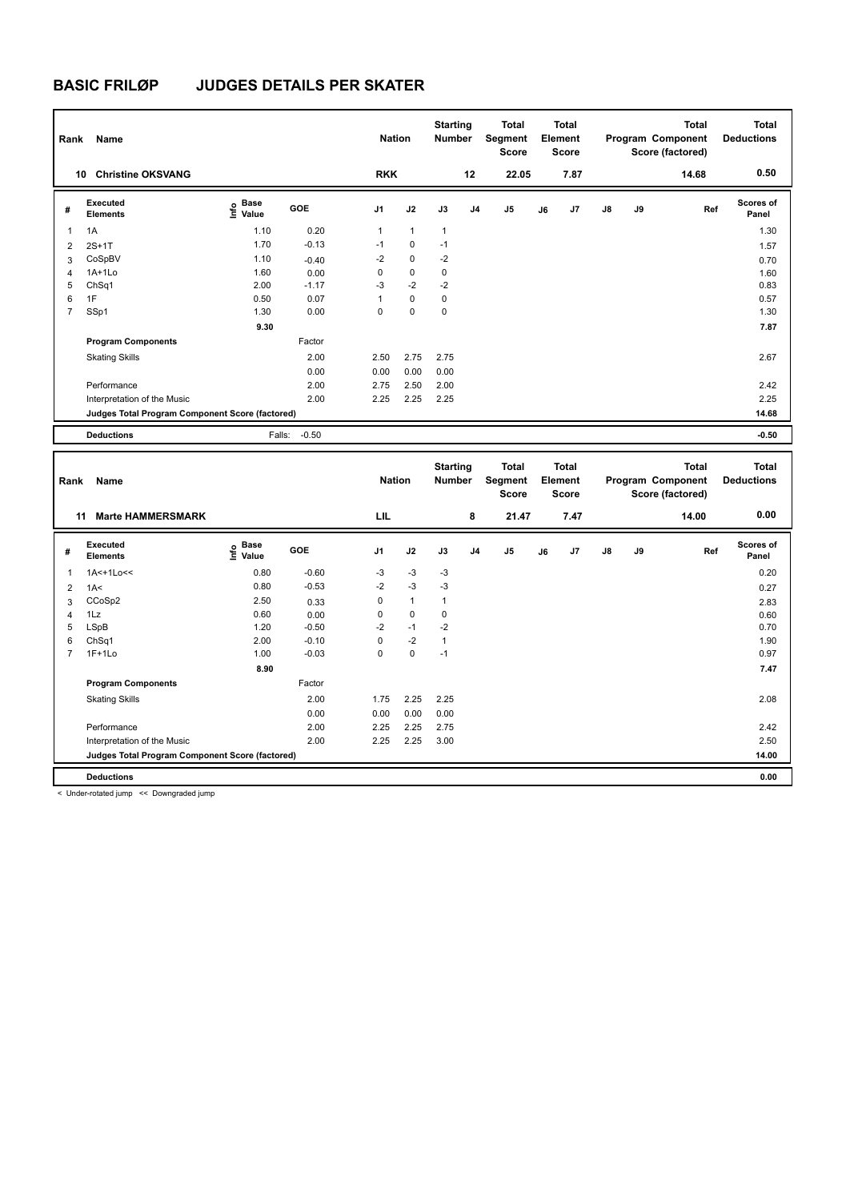| Rank           | Name                                            |                                             |            | <b>Nation</b>  |              | <b>Starting</b><br><b>Number</b> |                | <b>Total</b><br>Segment<br><b>Score</b> |    | <b>Total</b><br>Element<br><b>Score</b> |               |    | Total<br>Program Component<br>Score (factored) | <b>Total</b><br><b>Deductions</b> |
|----------------|-------------------------------------------------|---------------------------------------------|------------|----------------|--------------|----------------------------------|----------------|-----------------------------------------|----|-----------------------------------------|---------------|----|------------------------------------------------|-----------------------------------|
|                | <b>Christine OKSVANG</b><br>10                  |                                             |            | <b>RKK</b>     |              |                                  | 12             | 22.05                                   |    | 7.87                                    |               |    | 14.68                                          | 0.50                              |
| #              | Executed<br><b>Elements</b>                     | <b>Base</b><br>e <sup>Base</sup><br>⊆ Value | <b>GOE</b> | J <sub>1</sub> | J2           | J3                               | J <sub>4</sub> | J <sub>5</sub>                          | J6 | J7                                      | $\mathsf{J}8$ | J9 | Ref                                            | Scores of<br>Panel                |
| 1              | 1A                                              | 1.10                                        | 0.20       | $\mathbf{1}$   | $\mathbf{1}$ | $\mathbf{1}$                     |                |                                         |    |                                         |               |    |                                                | 1.30                              |
| $\overline{2}$ | $2S+1T$                                         | 1.70                                        | $-0.13$    | $-1$           | $\mathbf 0$  | $-1$                             |                |                                         |    |                                         |               |    |                                                | 1.57                              |
| 3              | CoSpBV                                          | 1.10                                        | $-0.40$    | $-2$           | $\mathbf 0$  | $-2$                             |                |                                         |    |                                         |               |    |                                                | 0.70                              |
| 4              | $1A+1Lo$                                        | 1.60                                        | 0.00       | 0              | 0            | 0                                |                |                                         |    |                                         |               |    |                                                | 1.60                              |
| 5              | ChSq1                                           | 2.00                                        | $-1.17$    | $-3$           | $-2$         | $-2$                             |                |                                         |    |                                         |               |    |                                                | 0.83                              |
| 6              | 1F                                              | 0.50                                        | 0.07       | 1              | $\mathbf 0$  | 0                                |                |                                         |    |                                         |               |    |                                                | 0.57                              |
| $\overline{7}$ | SSp1                                            | 1.30                                        | 0.00       | 0              | 0            | 0                                |                |                                         |    |                                         |               |    |                                                | 1.30                              |
|                |                                                 | 9.30                                        |            |                |              |                                  |                |                                         |    |                                         |               |    |                                                | 7.87                              |
|                | <b>Program Components</b>                       |                                             | Factor     |                |              |                                  |                |                                         |    |                                         |               |    |                                                |                                   |
|                | <b>Skating Skills</b>                           |                                             | 2.00       | 2.50           | 2.75         | 2.75                             |                |                                         |    |                                         |               |    |                                                | 2.67                              |
|                |                                                 |                                             | 0.00       | 0.00           | 0.00         | 0.00                             |                |                                         |    |                                         |               |    |                                                |                                   |
|                | Performance                                     |                                             | 2.00       | 2.75           | 2.50         | 2.00                             |                |                                         |    |                                         |               |    |                                                | 2.42                              |
|                | Interpretation of the Music                     |                                             | 2.00       | 2.25           | 2.25         | 2.25                             |                |                                         |    |                                         |               |    |                                                | 2.25                              |
|                | Judges Total Program Component Score (factored) |                                             |            |                |              |                                  |                |                                         |    |                                         |               |    |                                                | 14.68                             |
|                | <b>Deductions</b>                               | Falls:                                      | $-0.50$    |                |              |                                  |                |                                         |    |                                         |               |    |                                                | $-0.50$                           |

| Rank           | Name                                            |                                  |            | <b>Nation</b>  |              | <b>Starting</b><br><b>Number</b> |                | <b>Total</b><br>Segment<br><b>Score</b> |    | <b>Total</b><br>Element<br><b>Score</b> |    |    | <b>Total</b><br>Program Component<br>Score (factored) | Total<br><b>Deductions</b> |
|----------------|-------------------------------------------------|----------------------------------|------------|----------------|--------------|----------------------------------|----------------|-----------------------------------------|----|-----------------------------------------|----|----|-------------------------------------------------------|----------------------------|
|                | <b>Marte HAMMERSMARK</b><br>11                  |                                  |            | LIL            |              |                                  | 8              | 21.47                                   |    | 7.47                                    |    |    | 14.00                                                 | 0.00                       |
| #              | Executed<br><b>Elements</b>                     | <b>Base</b><br>e Base<br>⊆ Value | <b>GOE</b> | J <sub>1</sub> | J2           | J3                               | J <sub>4</sub> | J <sub>5</sub>                          | J6 | J7                                      | J8 | J9 | Ref                                                   | <b>Scores of</b><br>Panel  |
|                | 1A<+1Lo<<                                       | 0.80                             | $-0.60$    | $-3$           | $-3$         | $-3$                             |                |                                         |    |                                         |    |    |                                                       | 0.20                       |
| $\overline{2}$ | 1A<                                             | 0.80                             | $-0.53$    | $-2$           | $-3$         | $-3$                             |                |                                         |    |                                         |    |    |                                                       | 0.27                       |
| 3              | CCoSp2                                          | 2.50                             | 0.33       | 0              | $\mathbf{1}$ | $\mathbf{1}$                     |                |                                         |    |                                         |    |    |                                                       | 2.83                       |
| $\overline{4}$ | 1Lz                                             | 0.60                             | 0.00       | 0              | $\mathbf 0$  | 0                                |                |                                         |    |                                         |    |    |                                                       | 0.60                       |
| 5              | LSpB                                            | 1.20                             | $-0.50$    | $-2$           | $-1$         | $-2$                             |                |                                         |    |                                         |    |    |                                                       | 0.70                       |
| 6              | ChSq1                                           | 2.00                             | $-0.10$    | 0              | $-2$         | $\mathbf{1}$                     |                |                                         |    |                                         |    |    |                                                       | 1.90                       |
| 7              | $1F+1Lo$                                        | 1.00                             | $-0.03$    | 0              | $\mathbf 0$  | $-1$                             |                |                                         |    |                                         |    |    |                                                       | 0.97                       |
|                |                                                 | 8.90                             |            |                |              |                                  |                |                                         |    |                                         |    |    |                                                       | 7.47                       |
|                | <b>Program Components</b>                       |                                  | Factor     |                |              |                                  |                |                                         |    |                                         |    |    |                                                       |                            |
|                | <b>Skating Skills</b>                           |                                  | 2.00       | 1.75           | 2.25         | 2.25                             |                |                                         |    |                                         |    |    |                                                       | 2.08                       |
|                |                                                 |                                  | 0.00       | 0.00           | 0.00         | 0.00                             |                |                                         |    |                                         |    |    |                                                       |                            |
|                | Performance                                     |                                  | 2.00       | 2.25           | 2.25         | 2.75                             |                |                                         |    |                                         |    |    |                                                       | 2.42                       |
|                | Interpretation of the Music                     |                                  | 2.00       | 2.25           | 2.25         | 3.00                             |                |                                         |    |                                         |    |    |                                                       | 2.50                       |
|                | Judges Total Program Component Score (factored) |                                  |            |                |              |                                  |                |                                         |    |                                         |    |    |                                                       | 14.00                      |
|                | <b>Deductions</b>                               |                                  |            |                |              |                                  |                |                                         |    |                                         |    |    |                                                       | 0.00                       |

< Under-rotated jump << Downgraded jump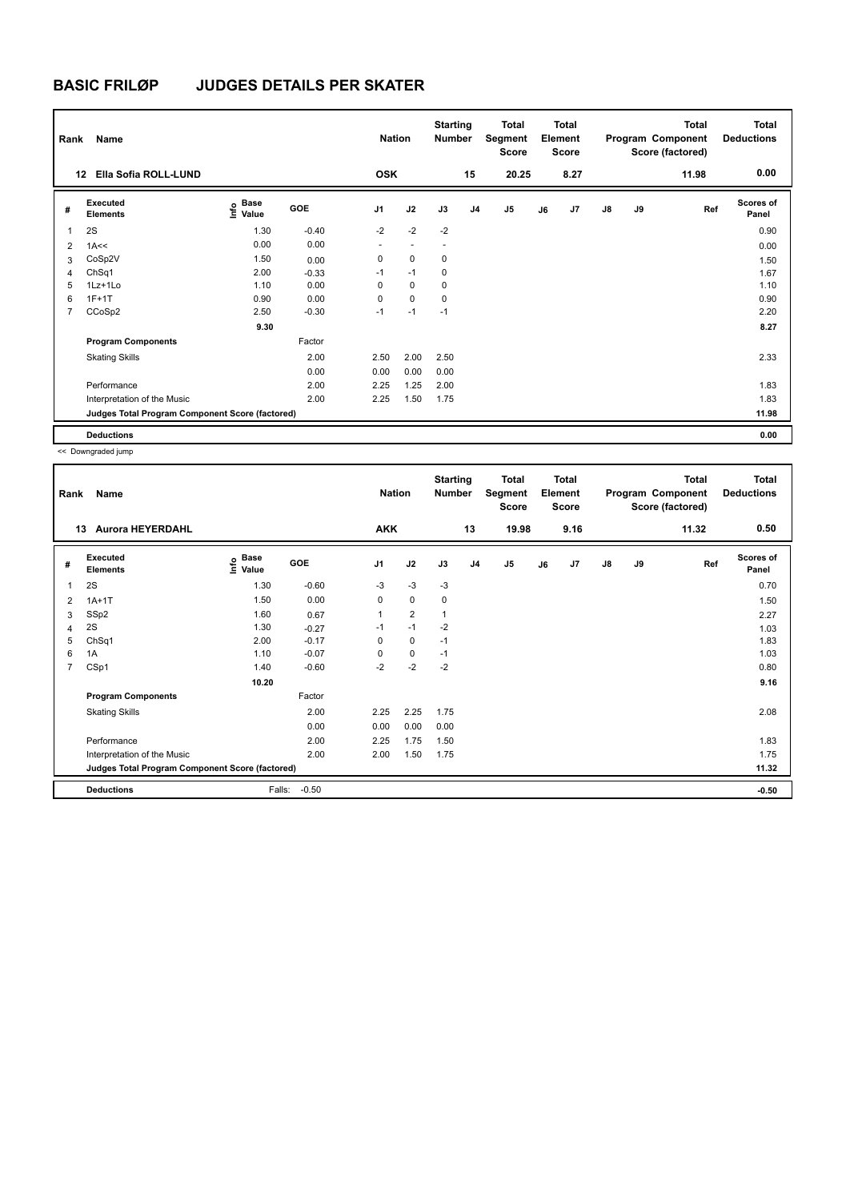| Rank           | Name                                            |                       |         | <b>Nation</b>  |             | <b>Starting</b><br><b>Number</b> |                | <b>Total</b><br>Segment<br><b>Score</b> |    | <b>Total</b><br>Element<br><b>Score</b> |               |    | <b>Total</b><br>Program Component<br>Score (factored) | <b>Total</b><br><b>Deductions</b> |
|----------------|-------------------------------------------------|-----------------------|---------|----------------|-------------|----------------------------------|----------------|-----------------------------------------|----|-----------------------------------------|---------------|----|-------------------------------------------------------|-----------------------------------|
| 12             | Ella Sofia ROLL-LUND                            |                       |         | <b>OSK</b>     |             |                                  | 15             | 20.25                                   |    | 8.27                                    |               |    | 11.98                                                 | 0.00                              |
| #              | Executed<br><b>Elements</b>                     | Base<br>lnfo<br>Value | GOE     | J <sub>1</sub> | J2          | J3                               | J <sub>4</sub> | J <sub>5</sub>                          | J6 | J7                                      | $\mathsf{J}8$ | J9 | Ref                                                   | <b>Scores of</b><br>Panel         |
|                | 2S                                              | 1.30                  | $-0.40$ | $-2$           | $-2$        | $-2$                             |                |                                         |    |                                         |               |    |                                                       | 0.90                              |
| 2              | 1A<<                                            | 0.00                  | 0.00    | ٠              | ٠           | $\overline{\phantom{a}}$         |                |                                         |    |                                         |               |    |                                                       | 0.00                              |
| 3              | CoSp2V                                          | 1.50                  | 0.00    | 0              | $\mathbf 0$ | 0                                |                |                                         |    |                                         |               |    |                                                       | 1.50                              |
| 4              | ChSq1                                           | 2.00                  | $-0.33$ | $-1$           | $-1$        | 0                                |                |                                         |    |                                         |               |    |                                                       | 1.67                              |
| 5              | 1Lz+1Lo                                         | 1.10                  | 0.00    | 0              | $\mathbf 0$ | 0                                |                |                                         |    |                                         |               |    |                                                       | 1.10                              |
| 6              | $1F+1T$                                         | 0.90                  | 0.00    | 0              | $\mathbf 0$ | 0                                |                |                                         |    |                                         |               |    |                                                       | 0.90                              |
| $\overline{7}$ | CCoSp2                                          | 2.50                  | $-0.30$ | $-1$           | $-1$        | $-1$                             |                |                                         |    |                                         |               |    |                                                       | 2.20                              |
|                |                                                 | 9.30                  |         |                |             |                                  |                |                                         |    |                                         |               |    |                                                       | 8.27                              |
|                | <b>Program Components</b>                       |                       | Factor  |                |             |                                  |                |                                         |    |                                         |               |    |                                                       |                                   |
|                | <b>Skating Skills</b>                           |                       | 2.00    | 2.50           | 2.00        | 2.50                             |                |                                         |    |                                         |               |    |                                                       | 2.33                              |
|                |                                                 |                       | 0.00    | 0.00           | 0.00        | 0.00                             |                |                                         |    |                                         |               |    |                                                       |                                   |
|                | Performance                                     |                       | 2.00    | 2.25           | 1.25        | 2.00                             |                |                                         |    |                                         |               |    |                                                       | 1.83                              |
|                | Interpretation of the Music                     |                       | 2.00    | 2.25           | 1.50        | 1.75                             |                |                                         |    |                                         |               |    |                                                       | 1.83                              |
|                | Judges Total Program Component Score (factored) |                       |         |                |             |                                  |                |                                         |    |                                         |               |    |                                                       | 11.98                             |
|                | <b>Deductions</b>                               |                       |         |                |             |                                  |                |                                         |    |                                         |               |    |                                                       | 0.00                              |

| Rank           | Name                                            |                              |            | <b>Nation</b>  |                | <b>Starting</b><br><b>Number</b> |                | Total<br>Segment<br>Score |    | <b>Total</b><br>Element<br><b>Score</b> |    |    | <b>Total</b><br>Program Component<br>Score (factored) | <b>Total</b><br><b>Deductions</b> |
|----------------|-------------------------------------------------|------------------------------|------------|----------------|----------------|----------------------------------|----------------|---------------------------|----|-----------------------------------------|----|----|-------------------------------------------------------|-----------------------------------|
|                | <b>Aurora HEYERDAHL</b><br>13                   |                              |            | <b>AKK</b>     |                |                                  | 13             | 19.98                     |    | 9.16                                    |    |    | 11.32                                                 | 0.50                              |
| #              | Executed<br><b>Elements</b>                     | <b>Base</b><br>Info<br>Value | <b>GOE</b> | J <sub>1</sub> | J2             | J3                               | J <sub>4</sub> | J <sub>5</sub>            | J6 | J7                                      | J8 | J9 | Ref                                                   | <b>Scores of</b><br>Panel         |
| 1              | 2S                                              | 1.30                         | $-0.60$    | $-3$           | $-3$           | $-3$                             |                |                           |    |                                         |    |    |                                                       | 0.70                              |
| 2              | $1A+1T$                                         | 1.50                         | 0.00       | $\mathbf 0$    | 0              | 0                                |                |                           |    |                                         |    |    |                                                       | 1.50                              |
| 3              | SSp2                                            | 1.60                         | 0.67       | $\overline{1}$ | $\overline{2}$ | 1                                |                |                           |    |                                         |    |    |                                                       | 2.27                              |
| 4              | 2S                                              | 1.30                         | $-0.27$    | $-1$           | $-1$           | $-2$                             |                |                           |    |                                         |    |    |                                                       | 1.03                              |
| 5              | ChSq1                                           | 2.00                         | $-0.17$    | 0              | 0              | $-1$                             |                |                           |    |                                         |    |    |                                                       | 1.83                              |
| 6              | 1A                                              | 1.10                         | $-0.07$    | 0              | 0              | $-1$                             |                |                           |    |                                         |    |    |                                                       | 1.03                              |
| $\overline{7}$ | CSp1                                            | 1.40                         | $-0.60$    | $-2$           | $-2$           | $-2$                             |                |                           |    |                                         |    |    |                                                       | 0.80                              |
|                |                                                 | 10.20                        |            |                |                |                                  |                |                           |    |                                         |    |    |                                                       | 9.16                              |
|                | <b>Program Components</b>                       |                              | Factor     |                |                |                                  |                |                           |    |                                         |    |    |                                                       |                                   |
|                | <b>Skating Skills</b>                           |                              | 2.00       | 2.25           | 2.25           | 1.75                             |                |                           |    |                                         |    |    |                                                       | 2.08                              |
|                |                                                 |                              | 0.00       | 0.00           | 0.00           | 0.00                             |                |                           |    |                                         |    |    |                                                       |                                   |
|                | Performance                                     |                              | 2.00       | 2.25           | 1.75           | 1.50                             |                |                           |    |                                         |    |    |                                                       | 1.83                              |
|                | Interpretation of the Music                     |                              | 2.00       | 2.00           | 1.50           | 1.75                             |                |                           |    |                                         |    |    |                                                       | 1.75                              |
|                | Judges Total Program Component Score (factored) |                              |            |                |                |                                  |                |                           |    |                                         |    |    |                                                       | 11.32                             |
|                | <b>Deductions</b>                               | Falls:                       | $-0.50$    |                |                |                                  |                |                           |    |                                         |    |    |                                                       | $-0.50$                           |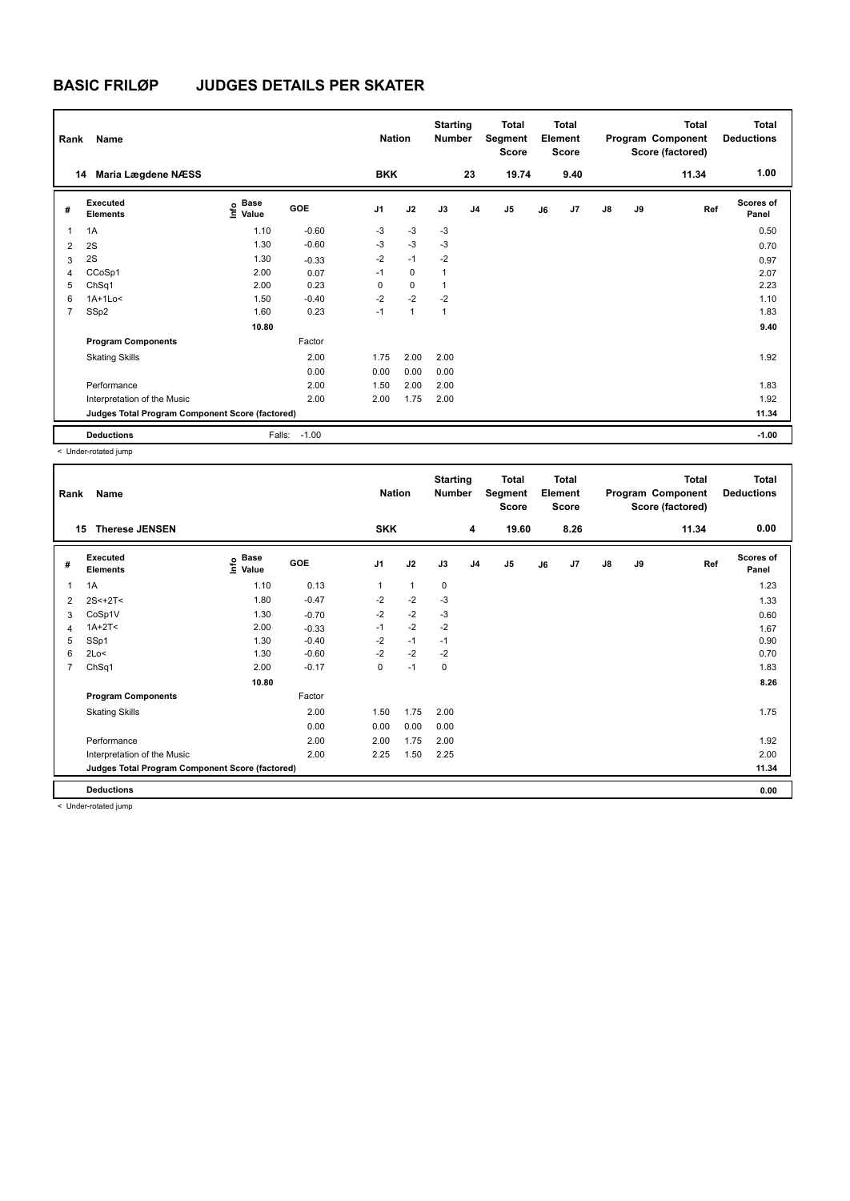| Rank           | Name                                            | <b>Nation</b>                |         | <b>Starting</b><br><b>Number</b> |              | <b>Total</b><br>Segment<br><b>Score</b> |                | Total<br>Element<br><b>Score</b> |    |      | <b>Total</b><br>Program Component<br>Score (factored) | <b>Total</b><br><b>Deductions</b> |       |                           |
|----------------|-------------------------------------------------|------------------------------|---------|----------------------------------|--------------|-----------------------------------------|----------------|----------------------------------|----|------|-------------------------------------------------------|-----------------------------------|-------|---------------------------|
|                | Maria Lægdene NÆSS<br>14                        |                              |         | <b>BKK</b>                       |              |                                         | 23             | 19.74                            |    | 9.40 |                                                       |                                   | 11.34 | 1.00                      |
| #              | Executed<br><b>Elements</b>                     | <b>Base</b><br>lnfo<br>Value | GOE     | J <sub>1</sub>                   | J2           | J3                                      | J <sub>4</sub> | J <sub>5</sub>                   | J6 | J7   | $\mathsf{J}8$                                         | J9                                | Ref   | <b>Scores of</b><br>Panel |
| 1              | 1A                                              | 1.10                         | $-0.60$ | $-3$                             | $-3$         | $-3$                                    |                |                                  |    |      |                                                       |                                   |       | 0.50                      |
| $\overline{2}$ | 2S                                              | 1.30                         | $-0.60$ | $-3$                             | $-3$         | $-3$                                    |                |                                  |    |      |                                                       |                                   |       | 0.70                      |
| 3              | 2S                                              | 1.30                         | $-0.33$ | $-2$                             | $-1$         | $-2$                                    |                |                                  |    |      |                                                       |                                   |       | 0.97                      |
| $\overline{4}$ | CCoSp1                                          | 2.00                         | 0.07    | $-1$                             | $\mathbf 0$  | 1                                       |                |                                  |    |      |                                                       |                                   |       | 2.07                      |
| 5              | ChSq1                                           | 2.00                         | 0.23    | $\Omega$                         | $\mathbf 0$  |                                         |                |                                  |    |      |                                                       |                                   |       | 2.23                      |
| 6              | $1A+1Lo<$                                       | 1.50                         | $-0.40$ | $-2$                             | $-2$         | $-2$                                    |                |                                  |    |      |                                                       |                                   |       | 1.10                      |
| $\overline{7}$ | SSp2                                            | 1.60                         | 0.23    | $-1$                             | $\mathbf{1}$ | 1                                       |                |                                  |    |      |                                                       |                                   |       | 1.83                      |
|                |                                                 | 10.80                        |         |                                  |              |                                         |                |                                  |    |      |                                                       |                                   |       | 9.40                      |
|                | <b>Program Components</b>                       |                              | Factor  |                                  |              |                                         |                |                                  |    |      |                                                       |                                   |       |                           |
|                | <b>Skating Skills</b>                           |                              | 2.00    | 1.75                             | 2.00         | 2.00                                    |                |                                  |    |      |                                                       |                                   |       | 1.92                      |
|                |                                                 |                              | 0.00    | 0.00                             | 0.00         | 0.00                                    |                |                                  |    |      |                                                       |                                   |       |                           |
|                | Performance                                     |                              | 2.00    | 1.50                             | 2.00         | 2.00                                    |                |                                  |    |      |                                                       |                                   |       | 1.83                      |
|                | Interpretation of the Music                     |                              | 2.00    | 2.00                             | 1.75         | 2.00                                    |                |                                  |    |      |                                                       |                                   |       | 1.92                      |
|                | Judges Total Program Component Score (factored) |                              |         |                                  |              |                                         |                |                                  |    |      |                                                       |                                   |       | 11.34                     |
|                | <b>Deductions</b>                               | Falls:                       | $-1.00$ |                                  |              |                                         |                |                                  |    |      |                                                       |                                   |       | $-1.00$                   |

< Under-rotated jump

| Rank           | Name                                            | <b>Nation</b>                    |         | <b>Starting</b><br><b>Number</b> |              | <b>Total</b><br>Segment<br>Score |                | <b>Total</b><br>Element<br>Score |    |      | <b>Total</b><br>Program Component<br>Score (factored) | Total<br><b>Deductions</b> |       |                    |
|----------------|-------------------------------------------------|----------------------------------|---------|----------------------------------|--------------|----------------------------------|----------------|----------------------------------|----|------|-------------------------------------------------------|----------------------------|-------|--------------------|
| 15             | <b>Therese JENSEN</b>                           |                                  |         | <b>SKK</b>                       |              |                                  | 4              | 19.60                            |    | 8.26 |                                                       |                            | 11.34 | 0.00               |
| #              | Executed<br><b>Elements</b>                     | <b>Base</b><br>e Base<br>⊆ Value | GOE     | J <sub>1</sub>                   | J2           | J3                               | J <sub>4</sub> | J5                               | J6 | J7   | $\mathsf{J}8$                                         | J9                         | Ref   | Scores of<br>Panel |
| 1              | 1A                                              | 1.10                             | 0.13    | 1                                | $\mathbf{1}$ | 0                                |                |                                  |    |      |                                                       |                            |       | 1.23               |
| 2              | $2S < +2T <$                                    | 1.80                             | $-0.47$ | $-2$                             | $-2$         | $-3$                             |                |                                  |    |      |                                                       |                            |       | 1.33               |
| 3              | CoSp1V                                          | 1.30                             | $-0.70$ | $-2$                             | $-2$         | $-3$                             |                |                                  |    |      |                                                       |                            |       | 0.60               |
| 4              | $1A+2T2$                                        | 2.00                             | $-0.33$ | $-1$                             | $-2$         | $-2$                             |                |                                  |    |      |                                                       |                            |       | 1.67               |
| 5              | SSp1                                            | 1.30                             | $-0.40$ | $-2$                             | $-1$         | $-1$                             |                |                                  |    |      |                                                       |                            |       | 0.90               |
| 6              | 2Lo<                                            | 1.30                             | $-0.60$ | $-2$                             | $-2$         | $-2$                             |                |                                  |    |      |                                                       |                            |       | 0.70               |
| $\overline{7}$ | ChSq1                                           | 2.00                             | $-0.17$ | 0                                | $-1$         | 0                                |                |                                  |    |      |                                                       |                            |       | 1.83               |
|                |                                                 | 10.80                            |         |                                  |              |                                  |                |                                  |    |      |                                                       |                            |       | 8.26               |
|                | <b>Program Components</b>                       |                                  | Factor  |                                  |              |                                  |                |                                  |    |      |                                                       |                            |       |                    |
|                | <b>Skating Skills</b>                           |                                  | 2.00    | 1.50                             | 1.75         | 2.00                             |                |                                  |    |      |                                                       |                            |       | 1.75               |
|                |                                                 |                                  | 0.00    | 0.00                             | 0.00         | 0.00                             |                |                                  |    |      |                                                       |                            |       |                    |
|                | Performance                                     |                                  | 2.00    | 2.00                             | 1.75         | 2.00                             |                |                                  |    |      |                                                       |                            |       | 1.92               |
|                | Interpretation of the Music                     |                                  | 2.00    | 2.25                             | 1.50         | 2.25                             |                |                                  |    |      |                                                       |                            |       | 2.00               |
|                | Judges Total Program Component Score (factored) |                                  |         |                                  |              |                                  |                |                                  |    |      |                                                       |                            |       | 11.34              |
|                | <b>Deductions</b>                               |                                  |         |                                  |              |                                  |                |                                  |    |      |                                                       |                            |       | 0.00               |

< Under-rotated jump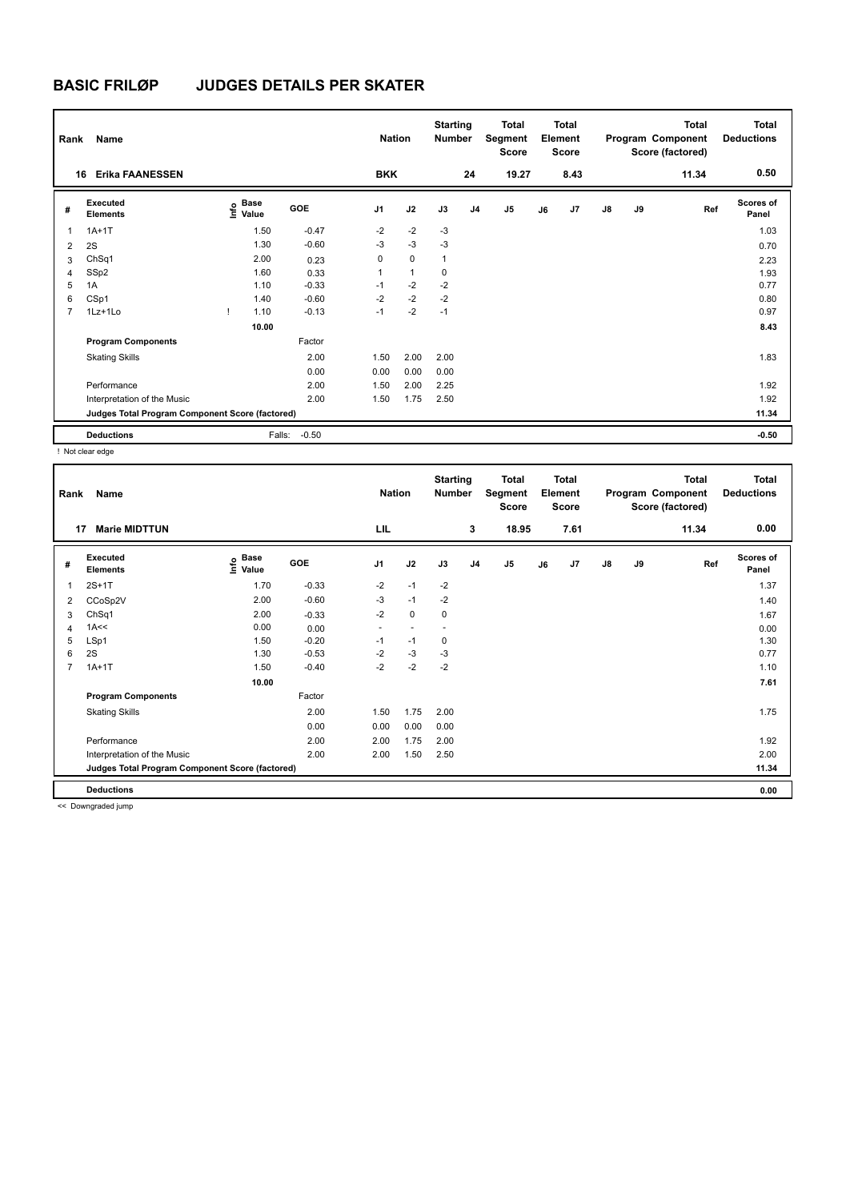| Rank           | Name                                            |                                             | <b>Nation</b>     | <b>Starting</b><br><b>Number</b> |                | <b>Total</b><br>Segment<br><b>Score</b> |                | <b>Total</b><br>Element<br><b>Score</b> |    |      | <b>Total</b><br>Program Component<br>Score (factored) | <b>Total</b><br><b>Deductions</b> |       |                           |
|----------------|-------------------------------------------------|---------------------------------------------|-------------------|----------------------------------|----------------|-----------------------------------------|----------------|-----------------------------------------|----|------|-------------------------------------------------------|-----------------------------------|-------|---------------------------|
| 16             | <b>Erika FAANESSEN</b>                          |                                             |                   | <b>BKK</b>                       |                |                                         | 24             | 19.27                                   |    | 8.43 |                                                       |                                   | 11.34 | 0.50                      |
| #              | Executed<br><b>Elements</b>                     | <b>Base</b><br>e <sup>Base</sup><br>⊆ Value | GOE               | J <sub>1</sub>                   | J2             | J3                                      | J <sub>4</sub> | J <sub>5</sub>                          | J6 | J7   | $\mathsf{J}8$                                         | J9                                | Ref   | <b>Scores of</b><br>Panel |
| 1              | $1A+1T$                                         | 1.50                                        | $-0.47$           | $-2$                             | $-2$           | $-3$                                    |                |                                         |    |      |                                                       |                                   |       | 1.03                      |
| $\overline{2}$ | 2S                                              | 1.30                                        | $-0.60$           | $-3$                             | $-3$           | $-3$                                    |                |                                         |    |      |                                                       |                                   |       | 0.70                      |
| 3              | ChSq1                                           | 2.00                                        | 0.23              | 0                                | $\mathbf 0$    | 1                                       |                |                                         |    |      |                                                       |                                   |       | 2.23                      |
| 4              | SSp2                                            | 1.60                                        | 0.33              | 1                                | $\overline{1}$ | 0                                       |                |                                         |    |      |                                                       |                                   |       | 1.93                      |
| 5              | 1A                                              | 1.10                                        | $-0.33$           | $-1$                             | $-2$           | $-2$                                    |                |                                         |    |      |                                                       |                                   |       | 0.77                      |
| 6              | CSp1                                            | 1.40                                        | $-0.60$           | $-2$                             | $-2$           | $-2$                                    |                |                                         |    |      |                                                       |                                   |       | 0.80                      |
| $\overline{7}$ | 1Lz+1Lo                                         | 1.10                                        | $-0.13$           | $-1$                             | $-2$           | $-1$                                    |                |                                         |    |      |                                                       |                                   |       | 0.97                      |
|                |                                                 | 10.00                                       |                   |                                  |                |                                         |                |                                         |    |      |                                                       |                                   |       | 8.43                      |
|                | <b>Program Components</b>                       |                                             | Factor            |                                  |                |                                         |                |                                         |    |      |                                                       |                                   |       |                           |
|                | <b>Skating Skills</b>                           |                                             | 2.00              | 1.50                             | 2.00           | 2.00                                    |                |                                         |    |      |                                                       |                                   |       | 1.83                      |
|                |                                                 |                                             | 0.00              | 0.00                             | 0.00           | 0.00                                    |                |                                         |    |      |                                                       |                                   |       |                           |
|                | Performance                                     |                                             | 2.00              | 1.50                             | 2.00           | 2.25                                    |                |                                         |    |      |                                                       |                                   |       | 1.92                      |
|                | Interpretation of the Music                     |                                             | 2.00              | 1.50                             | 1.75           | 2.50                                    |                |                                         |    |      |                                                       |                                   |       | 1.92                      |
|                | Judges Total Program Component Score (factored) |                                             |                   |                                  |                |                                         |                |                                         |    |      |                                                       |                                   |       | 11.34                     |
|                | <b>Deductions</b>                               |                                             | Falls:<br>$-0.50$ |                                  |                |                                         |                |                                         |    |      |                                                       |                                   |       | $-0.50$                   |

! Not clear edge

| Rank           | Name                                            |                                    |         | <b>Nation</b>  |             | <b>Starting</b><br><b>Number</b> |                | <b>Total</b><br>Segment<br>Score |    | <b>Total</b><br>Element<br><b>Score</b> |               |    | <b>Total</b><br>Program Component<br>Score (factored) | Total<br><b>Deductions</b> |
|----------------|-------------------------------------------------|------------------------------------|---------|----------------|-------------|----------------------------------|----------------|----------------------------------|----|-----------------------------------------|---------------|----|-------------------------------------------------------|----------------------------|
| 17             | <b>Marie MIDTTUN</b>                            |                                    |         | LIL            |             |                                  | 3              | 18.95                            |    | 7.61                                    |               |    | 11.34                                                 | 0.00                       |
| #              | Executed<br><b>Elements</b>                     | <b>Base</b><br>$\frac{6}{5}$ Value | GOE     | J <sub>1</sub> | J2          | J3                               | J <sub>4</sub> | J5                               | J6 | J7                                      | $\mathsf{J}8$ | J9 | Ref                                                   | <b>Scores of</b><br>Panel  |
| 1              | $2S+1T$                                         | 1.70                               | $-0.33$ | $-2$           | $-1$        | $-2$                             |                |                                  |    |                                         |               |    |                                                       | 1.37                       |
| 2              | CCoSp2V                                         | 2.00                               | $-0.60$ | $-3$           | $-1$        | $-2$                             |                |                                  |    |                                         |               |    |                                                       | 1.40                       |
| 3              | ChSq1                                           | 2.00                               | $-0.33$ | $-2$           | $\mathbf 0$ | 0                                |                |                                  |    |                                         |               |    |                                                       | 1.67                       |
| 4              | 1A<<                                            | 0.00                               | 0.00    | ٠              |             |                                  |                |                                  |    |                                         |               |    |                                                       | 0.00                       |
| 5              | LSp1                                            | 1.50                               | $-0.20$ | $-1$           | $-1$        | 0                                |                |                                  |    |                                         |               |    |                                                       | 1.30                       |
| 6              | 2S                                              | 1.30                               | $-0.53$ | $-2$           | $-3$        | -3                               |                |                                  |    |                                         |               |    |                                                       | 0.77                       |
| $\overline{7}$ | $1A+1T$                                         | 1.50                               | $-0.40$ | $-2$           | $-2$        | $-2$                             |                |                                  |    |                                         |               |    |                                                       | 1.10                       |
|                |                                                 | 10.00                              |         |                |             |                                  |                |                                  |    |                                         |               |    |                                                       | 7.61                       |
|                | <b>Program Components</b>                       |                                    | Factor  |                |             |                                  |                |                                  |    |                                         |               |    |                                                       |                            |
|                | <b>Skating Skills</b>                           |                                    | 2.00    | 1.50           | 1.75        | 2.00                             |                |                                  |    |                                         |               |    |                                                       | 1.75                       |
|                |                                                 |                                    | 0.00    | 0.00           | 0.00        | 0.00                             |                |                                  |    |                                         |               |    |                                                       |                            |
|                | Performance                                     |                                    | 2.00    | 2.00           | 1.75        | 2.00                             |                |                                  |    |                                         |               |    |                                                       | 1.92                       |
|                | Interpretation of the Music                     |                                    | 2.00    | 2.00           | 1.50        | 2.50                             |                |                                  |    |                                         |               |    |                                                       | 2.00                       |
|                | Judges Total Program Component Score (factored) |                                    |         |                |             |                                  |                |                                  |    |                                         |               |    |                                                       | 11.34                      |
|                | <b>Deductions</b>                               |                                    |         |                |             |                                  |                |                                  |    |                                         |               |    |                                                       | 0.00                       |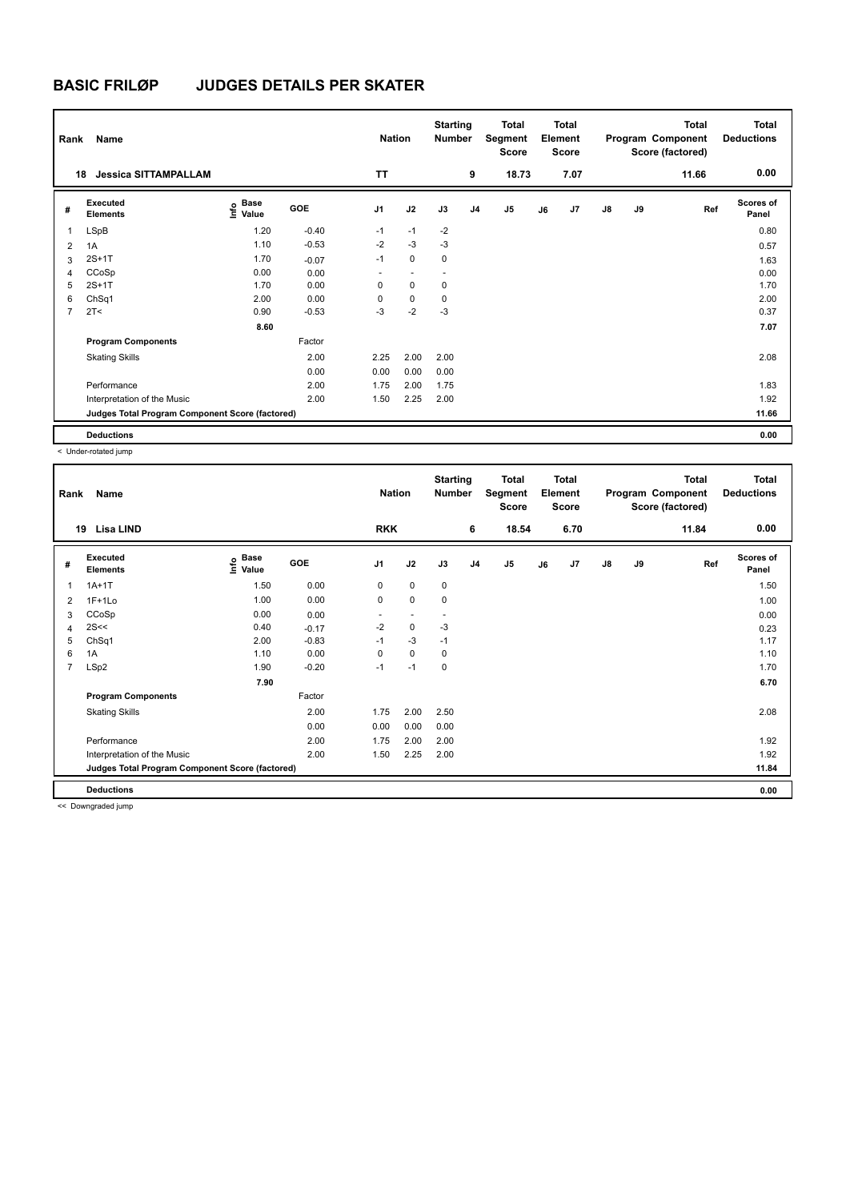| Rank           | Name                                            | <b>Nation</b>               |            | <b>Starting</b><br><b>Number</b> |                | <b>Total</b><br>Segment<br><b>Score</b> |                | <b>Total</b><br>Element<br><b>Score</b> |    |      | <b>Total</b><br>Program Component<br>Score (factored) | <b>Total</b><br><b>Deductions</b> |       |                           |
|----------------|-------------------------------------------------|-----------------------------|------------|----------------------------------|----------------|-----------------------------------------|----------------|-----------------------------------------|----|------|-------------------------------------------------------|-----------------------------------|-------|---------------------------|
|                | <b>Jessica SITTAMPALLAM</b><br>18               |                             |            | <b>TT</b>                        |                |                                         | 9              | 18.73                                   |    | 7.07 |                                                       |                                   | 11.66 | 0.00                      |
| #              | Executed<br><b>Elements</b>                     | Base<br>$\frac{6}{5}$ Value | <b>GOE</b> | J <sub>1</sub>                   | J2             | J3                                      | J <sub>4</sub> | J <sub>5</sub>                          | J6 | J7   | $\mathsf{J}8$                                         | J9                                | Ref   | <b>Scores of</b><br>Panel |
| $\mathbf{1}$   | LSpB                                            | 1.20                        | $-0.40$    | $-1$                             | $-1$           | $-2$                                    |                |                                         |    |      |                                                       |                                   |       | 0.80                      |
| 2              | 1A                                              | 1.10                        | $-0.53$    | $-2$                             | $-3$           | $-3$                                    |                |                                         |    |      |                                                       |                                   |       | 0.57                      |
| 3              | $2S+1T$                                         | 1.70                        | $-0.07$    | $-1$                             | $\mathbf 0$    | 0                                       |                |                                         |    |      |                                                       |                                   |       | 1.63                      |
| 4              | CCoSp                                           | 0.00                        | 0.00       | ٠                                | $\overline{a}$ | $\overline{\phantom{a}}$                |                |                                         |    |      |                                                       |                                   |       | 0.00                      |
| 5              | $2S+1T$                                         | 1.70                        | 0.00       | 0                                | $\mathbf 0$    | 0                                       |                |                                         |    |      |                                                       |                                   |       | 1.70                      |
| 6              | ChSq1                                           | 2.00                        | 0.00       | 0                                | $\mathbf 0$    | 0                                       |                |                                         |    |      |                                                       |                                   |       | 2.00                      |
| $\overline{7}$ | 2T <                                            | 0.90                        | $-0.53$    | $-3$                             | $-2$           | $-3$                                    |                |                                         |    |      |                                                       |                                   |       | 0.37                      |
|                |                                                 | 8.60                        |            |                                  |                |                                         |                |                                         |    |      |                                                       |                                   |       | 7.07                      |
|                | <b>Program Components</b>                       |                             | Factor     |                                  |                |                                         |                |                                         |    |      |                                                       |                                   |       |                           |
|                | <b>Skating Skills</b>                           |                             | 2.00       | 2.25                             | 2.00           | 2.00                                    |                |                                         |    |      |                                                       |                                   |       | 2.08                      |
|                |                                                 |                             | 0.00       | 0.00                             | 0.00           | 0.00                                    |                |                                         |    |      |                                                       |                                   |       |                           |
|                | Performance                                     |                             | 2.00       | 1.75                             | 2.00           | 1.75                                    |                |                                         |    |      |                                                       |                                   |       | 1.83                      |
|                | Interpretation of the Music                     |                             | 2.00       | 1.50                             | 2.25           | 2.00                                    |                |                                         |    |      |                                                       |                                   |       | 1.92                      |
|                | Judges Total Program Component Score (factored) |                             |            |                                  |                |                                         |                |                                         |    |      |                                                       |                                   |       | 11.66                     |
|                | <b>Deductions</b>                               |                             |            |                                  |                |                                         |                |                                         |    |      |                                                       |                                   |       | 0.00                      |

< Under-rotated jump

| Rank | Name                                            | <b>Nation</b>             |         | <b>Starting</b><br><b>Number</b> |      | <b>Total</b><br>Segment<br><b>Score</b> |                | <b>Total</b><br>Element<br><b>Score</b> |    |      | <b>Total</b><br>Program Component<br>Score (factored) | Total<br><b>Deductions</b> |       |                           |
|------|-------------------------------------------------|---------------------------|---------|----------------------------------|------|-----------------------------------------|----------------|-----------------------------------------|----|------|-------------------------------------------------------|----------------------------|-------|---------------------------|
| 19   | Lisa LIND                                       |                           |         | <b>RKK</b>                       |      |                                         | 6              | 18.54                                   |    | 6.70 |                                                       |                            | 11.84 | 0.00                      |
| #    | Executed<br><b>Elements</b>                     | Base<br>e Base<br>⊆ Value | GOE     | J <sub>1</sub>                   | J2   | J3                                      | J <sub>4</sub> | J5                                      | J6 | J7   | $\mathsf{J}8$                                         | J9                         | Ref   | <b>Scores of</b><br>Panel |
| 1    | $1A+1T$                                         | 1.50                      | 0.00    | 0                                | 0    | $\mathbf 0$                             |                |                                         |    |      |                                                       |                            |       | 1.50                      |
| 2    | $1F+1Lo$                                        | 1.00                      | 0.00    | 0                                | 0    | $\mathbf 0$                             |                |                                         |    |      |                                                       |                            |       | 1.00                      |
| 3    | CCoSp                                           | 0.00                      | 0.00    |                                  |      |                                         |                |                                         |    |      |                                                       |                            |       | 0.00                      |
| 4    | 2S<<                                            | 0.40                      | $-0.17$ | $-2$                             | 0    | -3                                      |                |                                         |    |      |                                                       |                            |       | 0.23                      |
| 5    | ChSq1                                           | 2.00                      | $-0.83$ | $-1$                             | $-3$ | $-1$                                    |                |                                         |    |      |                                                       |                            |       | 1.17                      |
| 6    | 1A                                              | 1.10                      | 0.00    | $\mathbf 0$                      | 0    | $\mathbf 0$                             |                |                                         |    |      |                                                       |                            |       | 1.10                      |
| 7    | LSp2                                            | 1.90                      | $-0.20$ | $-1$                             | $-1$ | $\mathbf 0$                             |                |                                         |    |      |                                                       |                            |       | 1.70                      |
|      |                                                 | 7.90                      |         |                                  |      |                                         |                |                                         |    |      |                                                       |                            |       | 6.70                      |
|      | <b>Program Components</b>                       |                           | Factor  |                                  |      |                                         |                |                                         |    |      |                                                       |                            |       |                           |
|      | <b>Skating Skills</b>                           |                           | 2.00    | 1.75                             | 2.00 | 2.50                                    |                |                                         |    |      |                                                       |                            |       | 2.08                      |
|      |                                                 |                           | 0.00    | 0.00                             | 0.00 | 0.00                                    |                |                                         |    |      |                                                       |                            |       |                           |
|      | Performance                                     |                           | 2.00    | 1.75                             | 2.00 | 2.00                                    |                |                                         |    |      |                                                       |                            |       | 1.92                      |
|      | Interpretation of the Music                     |                           | 2.00    | 1.50                             | 2.25 | 2.00                                    |                |                                         |    |      |                                                       |                            |       | 1.92                      |
|      | Judges Total Program Component Score (factored) |                           |         |                                  |      |                                         |                |                                         |    |      |                                                       |                            |       | 11.84                     |
|      | <b>Deductions</b>                               |                           |         |                                  |      |                                         |                |                                         |    |      |                                                       |                            |       | 0.00                      |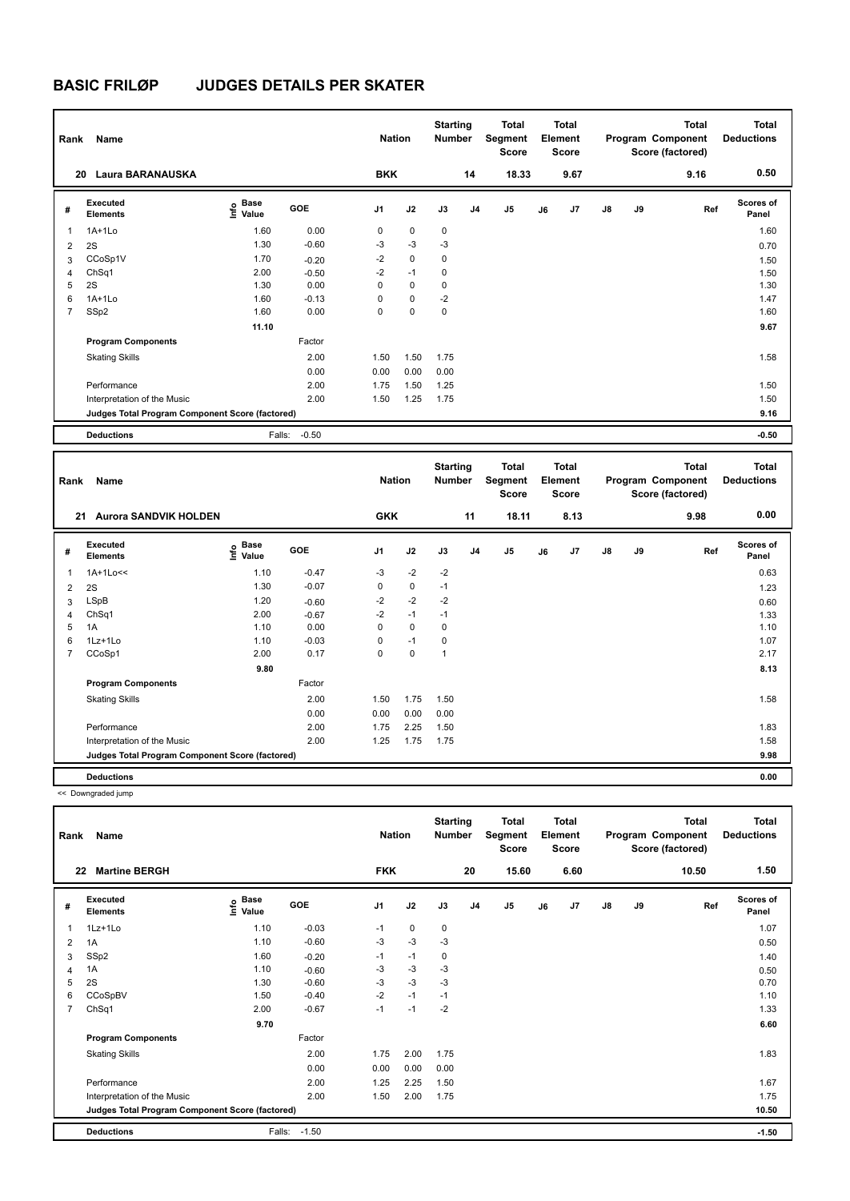| Rank           | Name                                            | <b>Nation</b>                    |            | <b>Starting</b><br><b>Number</b> |             | <b>Total</b><br>Segment<br><b>Score</b> |                | <b>Total</b><br>Element<br><b>Score</b> |    |      | <b>Total</b><br>Program Component<br>Score (factored) | <b>Total</b><br><b>Deductions</b> |      |                    |
|----------------|-------------------------------------------------|----------------------------------|------------|----------------------------------|-------------|-----------------------------------------|----------------|-----------------------------------------|----|------|-------------------------------------------------------|-----------------------------------|------|--------------------|
| 20             | <b>Laura BARANAUSKA</b>                         |                                  |            | <b>BKK</b>                       |             |                                         | 14             | 18.33                                   |    | 9.67 |                                                       |                                   | 9.16 | 0.50               |
| #              | Executed<br><b>Elements</b>                     | <b>Base</b><br>e Base<br>⊆ Value | <b>GOE</b> | J <sub>1</sub>                   | J2          | J3                                      | J <sub>4</sub> | J5                                      | J6 | J7   | $\mathsf{J}8$                                         | J9                                | Ref  | Scores of<br>Panel |
| 1              | $1A+1Lo$                                        | 1.60                             | 0.00       | 0                                | $\mathbf 0$ | 0                                       |                |                                         |    |      |                                                       |                                   |      | 1.60               |
| $\overline{2}$ | 2S                                              | 1.30                             | $-0.60$    | $-3$                             | $-3$        | $-3$                                    |                |                                         |    |      |                                                       |                                   |      | 0.70               |
| 3              | CCoSp1V                                         | 1.70                             | $-0.20$    | $-2$                             | $\mathbf 0$ | $\mathbf 0$                             |                |                                         |    |      |                                                       |                                   |      | 1.50               |
| $\overline{4}$ | ChSq1                                           | 2.00                             | $-0.50$    | $-2$                             | $-1$        | 0                                       |                |                                         |    |      |                                                       |                                   |      | 1.50               |
| 5              | 2S                                              | 1.30                             | 0.00       | 0                                | $\mathbf 0$ | $\mathbf 0$                             |                |                                         |    |      |                                                       |                                   |      | 1.30               |
| 6              | $1A+1L0$                                        | 1.60                             | $-0.13$    | 0                                | $\mathbf 0$ | $-2$                                    |                |                                         |    |      |                                                       |                                   |      | 1.47               |
| $\overline{7}$ | SSp2                                            | 1.60                             | 0.00       | 0                                | $\mathbf 0$ | 0                                       |                |                                         |    |      |                                                       |                                   |      | 1.60               |
|                |                                                 | 11.10                            |            |                                  |             |                                         |                |                                         |    |      |                                                       |                                   |      | 9.67               |
|                | <b>Program Components</b>                       |                                  | Factor     |                                  |             |                                         |                |                                         |    |      |                                                       |                                   |      |                    |
|                | <b>Skating Skills</b>                           |                                  | 2.00       | 1.50                             | 1.50        | 1.75                                    |                |                                         |    |      |                                                       |                                   |      | 1.58               |
|                |                                                 |                                  | 0.00       | 0.00                             | 0.00        | 0.00                                    |                |                                         |    |      |                                                       |                                   |      |                    |
|                | Performance                                     |                                  | 2.00       | 1.75                             | 1.50        | 1.25                                    |                |                                         |    |      |                                                       |                                   |      | 1.50               |
|                | Interpretation of the Music                     |                                  | 2.00       | 1.50                             | 1.25        | 1.75                                    |                |                                         |    |      |                                                       |                                   |      | 1.50               |
|                | Judges Total Program Component Score (factored) |                                  |            |                                  |             |                                         |                |                                         |    |      |                                                       |                                   |      | 9.16               |
|                | <b>Deductions</b>                               | Falls:                           | $-0.50$    |                                  |             |                                         |                |                                         |    |      |                                                       |                                   |      | $-0.50$            |

| Rank           | Name                                            | <b>Nation</b>                |            | <b>Starting</b><br><b>Number</b> |             | <b>Total</b><br>Segment<br><b>Score</b> |                | <b>Total</b><br>Element<br><b>Score</b> |    |      | <b>Total</b><br>Program Component<br>Score (factored) | <b>Total</b><br><b>Deductions</b> |      |                           |
|----------------|-------------------------------------------------|------------------------------|------------|----------------------------------|-------------|-----------------------------------------|----------------|-----------------------------------------|----|------|-------------------------------------------------------|-----------------------------------|------|---------------------------|
|                | <b>Aurora SANDVIK HOLDEN</b><br>21              |                              |            | <b>GKK</b>                       |             |                                         | 11             | 18.11                                   |    | 8.13 |                                                       |                                   | 9.98 | 0.00                      |
| #              | Executed<br><b>Elements</b>                     | <b>Base</b><br>Info<br>Value | <b>GOE</b> | J <sub>1</sub>                   | J2          | J3                                      | J <sub>4</sub> | J5                                      | J6 | J7   | $\mathsf{J}8$                                         | J9                                | Ref  | <b>Scores of</b><br>Panel |
| $\overline{1}$ | 1A+1Lo<<                                        | 1.10                         | $-0.47$    | $-3$                             | $-2$        | $-2$                                    |                |                                         |    |      |                                                       |                                   |      | 0.63                      |
| $\overline{2}$ | 2S                                              | 1.30                         | $-0.07$    | 0                                | $\mathbf 0$ | $-1$                                    |                |                                         |    |      |                                                       |                                   |      | 1.23                      |
| 3              | <b>LSpB</b>                                     | 1.20                         | $-0.60$    | $-2$                             | $-2$        | $-2$                                    |                |                                         |    |      |                                                       |                                   |      | 0.60                      |
| $\overline{4}$ | ChSq1                                           | 2.00                         | $-0.67$    | $-2$                             | $-1$        | $-1$                                    |                |                                         |    |      |                                                       |                                   |      | 1.33                      |
| 5              | 1A                                              | 1.10                         | 0.00       | 0                                | $\mathbf 0$ | 0                                       |                |                                         |    |      |                                                       |                                   |      | 1.10                      |
| 6              | 1Lz+1Lo                                         | 1.10                         | $-0.03$    | 0                                | $-1$        | 0                                       |                |                                         |    |      |                                                       |                                   |      | 1.07                      |
| $\overline{7}$ | CCoSp1                                          | 2.00                         | 0.17       | 0                                | $\mathbf 0$ | $\overline{1}$                          |                |                                         |    |      |                                                       |                                   |      | 2.17                      |
|                |                                                 | 9.80                         |            |                                  |             |                                         |                |                                         |    |      |                                                       |                                   |      | 8.13                      |
|                | <b>Program Components</b>                       |                              | Factor     |                                  |             |                                         |                |                                         |    |      |                                                       |                                   |      |                           |
|                | <b>Skating Skills</b>                           |                              | 2.00       | 1.50                             | 1.75        | 1.50                                    |                |                                         |    |      |                                                       |                                   |      | 1.58                      |
|                |                                                 |                              | 0.00       | 0.00                             | 0.00        | 0.00                                    |                |                                         |    |      |                                                       |                                   |      |                           |
|                | Performance                                     |                              | 2.00       | 1.75                             | 2.25        | 1.50                                    |                |                                         |    |      |                                                       |                                   |      | 1.83                      |
|                | Interpretation of the Music                     |                              | 2.00       | 1.25                             | 1.75        | 1.75                                    |                |                                         |    |      |                                                       |                                   |      | 1.58                      |
|                | Judges Total Program Component Score (factored) |                              |            |                                  |             |                                         |                |                                         |    |      |                                                       |                                   |      | 9.98                      |
|                | <b>Deductions</b>                               |                              |            |                                  |             |                                         |                |                                         |    |      |                                                       |                                   |      | 0.00                      |

| Rank           | Name<br><b>Martine BERGH</b><br>22              |                       |         |                | <b>Nation</b> | <b>Starting</b><br><b>Number</b> |                | Total<br>Segment<br><b>Score</b> |    | Total<br>Element<br><b>Score</b> |               |    | <b>Total</b><br>Program Component<br>Score (factored) | <b>Total</b><br><b>Deductions</b> |
|----------------|-------------------------------------------------|-----------------------|---------|----------------|---------------|----------------------------------|----------------|----------------------------------|----|----------------------------------|---------------|----|-------------------------------------------------------|-----------------------------------|
|                |                                                 |                       |         | <b>FKK</b>     |               |                                  | 20             | 15.60                            |    | 6.60                             |               |    | 10.50                                                 | 1.50                              |
| #              | Executed<br><b>Elements</b>                     | Base<br>Info<br>Value | GOE     | J <sub>1</sub> | J2            | J3                               | J <sub>4</sub> | J <sub>5</sub>                   | J6 | J7                               | $\mathsf{J}8$ | J9 | Ref                                                   | Scores of<br>Panel                |
| 1              | 1Lz+1Lo                                         | 1.10                  | $-0.03$ | $-1$           | $\mathbf 0$   | $\mathbf 0$                      |                |                                  |    |                                  |               |    |                                                       | 1.07                              |
| 2              | 1A                                              | 1.10                  | $-0.60$ | -3             | $-3$          | $-3$                             |                |                                  |    |                                  |               |    |                                                       | 0.50                              |
| 3              | SSp2                                            | 1.60                  | $-0.20$ | -1             | $-1$          | 0                                |                |                                  |    |                                  |               |    |                                                       | 1.40                              |
| $\overline{4}$ | 1A                                              | 1.10                  | $-0.60$ | -3             | $-3$          | $-3$                             |                |                                  |    |                                  |               |    |                                                       | 0.50                              |
| 5              | 2S                                              | 1.30                  | $-0.60$ | $-3$           | $-3$          | $-3$                             |                |                                  |    |                                  |               |    |                                                       | 0.70                              |
| 6              | CCoSpBV                                         | 1.50                  | $-0.40$ | $-2$           | $-1$          | $-1$                             |                |                                  |    |                                  |               |    |                                                       | 1.10                              |
| 7              | ChSq1                                           | 2.00                  | $-0.67$ | $-1$           | $-1$          | $-2$                             |                |                                  |    |                                  |               |    |                                                       | 1.33                              |
|                |                                                 | 9.70                  |         |                |               |                                  |                |                                  |    |                                  |               |    |                                                       | 6.60                              |
|                | <b>Program Components</b>                       |                       | Factor  |                |               |                                  |                |                                  |    |                                  |               |    |                                                       |                                   |
|                | <b>Skating Skills</b>                           |                       | 2.00    | 1.75           | 2.00          | 1.75                             |                |                                  |    |                                  |               |    |                                                       | 1.83                              |
|                |                                                 |                       | 0.00    | 0.00           | 0.00          | 0.00                             |                |                                  |    |                                  |               |    |                                                       |                                   |
|                | Performance                                     |                       | 2.00    | 1.25           | 2.25          | 1.50                             |                |                                  |    |                                  |               |    |                                                       | 1.67                              |
|                | Interpretation of the Music                     |                       | 2.00    | 1.50           | 2.00          | 1.75                             |                |                                  |    |                                  |               |    |                                                       | 1.75                              |
|                | Judges Total Program Component Score (factored) |                       |         |                |               |                                  |                |                                  |    |                                  |               |    |                                                       | 10.50                             |
|                | <b>Deductions</b>                               | Falls:                | $-1.50$ |                |               |                                  |                |                                  |    |                                  |               |    |                                                       | $-1.50$                           |